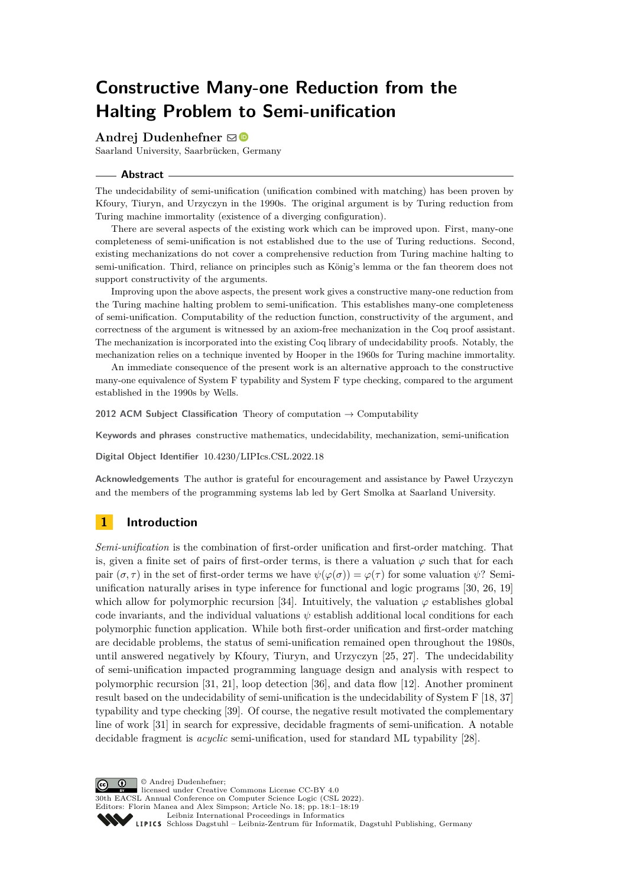# **Constructive Many-one Reduction from the Halting Problem to Semi-unification**

## **Andrei Dudenhefner**  $\boxtimes$  <sup>■</sup>

Saarland University, Saarbrücken, Germany

#### **Abstract**

The undecidability of semi-unification (unification combined with matching) has been proven by Kfoury, Tiuryn, and Urzyczyn in the 1990s. The original argument is by Turing reduction from Turing machine immortality (existence of a diverging configuration).

There are several aspects of the existing work which can be improved upon. First, many-one completeness of semi-unification is not established due to the use of Turing reductions. Second, existing mechanizations do not cover a comprehensive reduction from Turing machine halting to semi-unification. Third, reliance on principles such as König's lemma or the fan theorem does not support constructivity of the arguments.

Improving upon the above aspects, the present work gives a constructive many-one reduction from the Turing machine halting problem to semi-unification. This establishes many-one completeness of semi-unification. Computability of the reduction function, constructivity of the argument, and correctness of the argument is witnessed by an axiom-free mechanization in the Coq proof assistant. The mechanization is incorporated into the existing Coq library of undecidability proofs. Notably, the mechanization relies on a technique invented by Hooper in the 1960s for Turing machine immortality.

An immediate consequence of the present work is an alternative approach to the constructive many-one equivalence of System F typability and System F type checking, compared to the argument established in the 1990s by Wells.

**2012 ACM Subject Classification** Theory of computation → Computability

**Keywords and phrases** constructive mathematics, undecidability, mechanization, semi-unification

**Digital Object Identifier** [10.4230/LIPIcs.CSL.2022.18](https://doi.org/10.4230/LIPIcs.CSL.2022.18)

**Acknowledgements** The author is grateful for encouragement and assistance by Paweł Urzyczyn and the members of the programming systems lab led by Gert Smolka at Saarland University.

# <span id="page-0-0"></span>**1 Introduction**

*Semi-unification* is the combination of first-order unification and first-order matching. That is, given a finite set of pairs of first-order terms, is there a valuation  $\varphi$  such that for each pair  $(\sigma, \tau)$  in the set of first-order terms we have  $\psi(\varphi(\sigma)) = \varphi(\tau)$  for some valuation  $\psi$ ? Semiunification naturally arises in type inference for functional and logic programs [\[30,](#page-18-0) [26,](#page-17-0) [19\]](#page-17-1) which allow for polymorphic recursion [\[34\]](#page-18-1). Intuitively, the valuation  $\varphi$  establishes global code invariants, and the individual valuations  $\psi$  establish additional local conditions for each polymorphic function application. While both first-order unification and first-order matching are decidable problems, the status of semi-unification remained open throughout the 1980s, until answered negatively by Kfoury, Tiuryn, and Urzyczyn [\[25,](#page-17-2) [27\]](#page-17-3). The undecidability of semi-unification impacted programming language design and analysis with respect to polymorphic recursion [\[31,](#page-18-2) [21\]](#page-17-4), loop detection [\[36\]](#page-18-3), and data flow [\[12\]](#page-16-0). Another prominent result based on the undecidability of semi-unification is the undecidability of System F [\[18,](#page-17-5) [37\]](#page-18-4) typability and type checking [\[39\]](#page-18-5). Of course, the negative result motivated the complementary line of work [\[31\]](#page-18-2) in search for expressive, decidable fragments of semi-unification. A notable decidable fragment is *acyclic* semi-unification, used for standard ML typability [\[28\]](#page-17-6).

© Andrej Dudenhefner;  $\boxed{6}$   $\boxed{0}$ licensed under Creative Commons License CC-BY 4.0 30th EACSL Annual Conference on Computer Science Logic (CSL 2022). Editors: Florin Manea and Alex Simpson; Article No. 18; pp. 18:1–18:19 [Leibniz International Proceedings in Informatics](https://www.dagstuhl.de/lipics/) [Schloss Dagstuhl – Leibniz-Zentrum für Informatik, Dagstuhl Publishing, Germany](https://www.dagstuhl.de)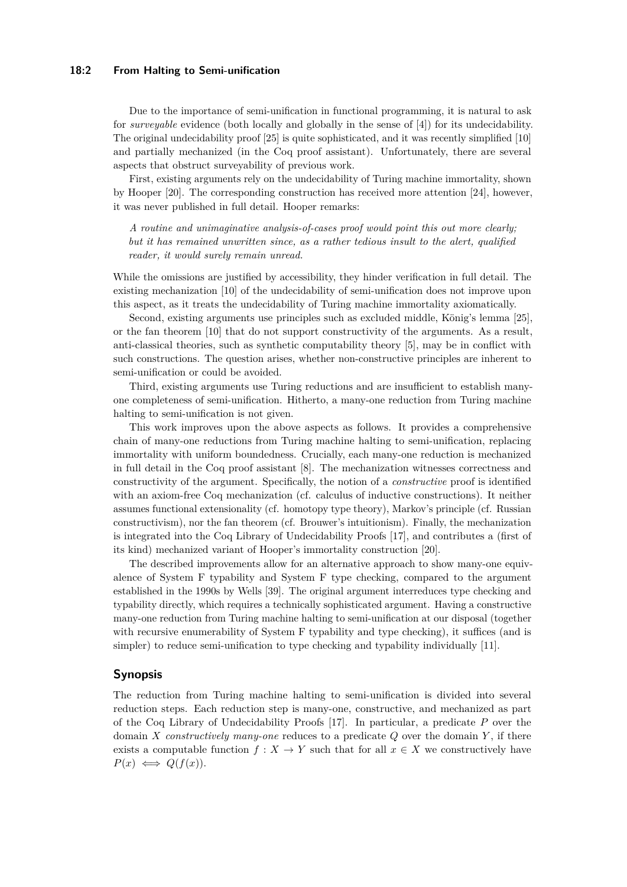#### **18:2 From Halting to Semi-unification**

Due to the importance of semi-unification in functional programming, it is natural to ask for *surveyable* evidence (both locally and globally in the sense of [\[4\]](#page-16-1)) for its undecidability. The original undecidability proof [\[25\]](#page-17-2) is quite sophisticated, and it was recently simplified [\[10\]](#page-16-2) and partially mechanized (in the Coq proof assistant). Unfortunately, there are several aspects that obstruct surveyability of previous work.

First, existing arguments rely on the undecidability of Turing machine immortality, shown by Hooper [\[20\]](#page-17-7). The corresponding construction has received more attention [\[24\]](#page-17-8), however, it was never published in full detail. Hooper remarks:

*A routine and unimaginative analysis-of-cases proof would point this out more clearly; but it has remained unwritten since, as a rather tedious insult to the alert, qualified reader, it would surely remain unread.*

While the omissions are justified by accessibility, they hinder verification in full detail. The existing mechanization [\[10\]](#page-16-2) of the undecidability of semi-unification does not improve upon this aspect, as it treats the undecidability of Turing machine immortality axiomatically.

Second, existing arguments use principles such as excluded middle, König's lemma [\[25\]](#page-17-2), or the fan theorem [\[10\]](#page-16-2) that do not support constructivity of the arguments. As a result, anti-classical theories, such as synthetic computability theory [\[5\]](#page-16-3), may be in conflict with such constructions. The question arises, whether non-constructive principles are inherent to semi-unification or could be avoided.

Third, existing arguments use Turing reductions and are insufficient to establish manyone completeness of semi-unification. Hitherto, a many-one reduction from Turing machine halting to semi-unification is not given.

This work improves upon the above aspects as follows. It provides a comprehensive chain of many-one reductions from Turing machine halting to semi-unification, replacing immortality with uniform boundedness. Crucially, each many-one reduction is mechanized in full detail in the Coq proof assistant [\[8\]](#page-16-4). The mechanization witnesses correctness and constructivity of the argument. Specifically, the notion of a *constructive* proof is identified with an axiom-free Coq mechanization (cf. calculus of inductive constructions). It neither assumes functional extensionality (cf. homotopy type theory), Markov's principle (cf. Russian constructivism), nor the fan theorem (cf. Brouwer's intuitionism). Finally, the mechanization is integrated into the Coq Library of Undecidability Proofs [\[17\]](#page-17-9), and contributes a (first of its kind) mechanized variant of Hooper's immortality construction [\[20\]](#page-17-7).

The described improvements allow for an alternative approach to show many-one equivalence of System F typability and System F type checking, compared to the argument established in the 1990s by Wells [\[39\]](#page-18-5). The original argument interreduces type checking and typability directly, which requires a technically sophisticated argument. Having a constructive many-one reduction from Turing machine halting to semi-unification at our disposal (together with recursive enumerability of System F typability and type checking), it suffices (and is simpler) to reduce semi-unification to type checking and typability individually [\[11\]](#page-16-5).

# **Synopsis**

The reduction from Turing machine halting to semi-unification is divided into several reduction steps. Each reduction step is many-one, constructive, and mechanized as part of the Coq Library of Undecidability Proofs [\[17\]](#page-17-9). In particular, a predicate *P* over the domain *X constructively many-one* reduces to a predicate *Q* over the domain *Y* , if there exists a computable function  $f: X \to Y$  such that for all  $x \in X$  we constructively have  $P(x) \iff Q(f(x)).$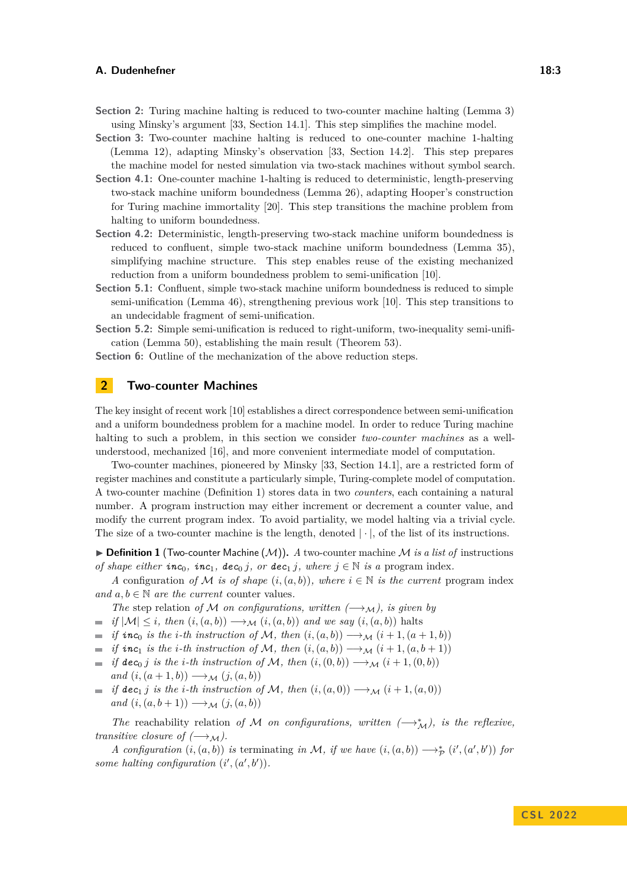- **Section [2:](#page-2-0)** Turing machine halting is reduced to two-counter machine halting (Lemma [3\)](#page-3-0) using Minsky's argument [\[33,](#page-18-6) Section 14.1]. This step simplifies the machine model.
- **Section [3:](#page-3-1)** Two-counter machine halting is reduced to one-counter machine 1-halting (Lemma [12\)](#page-5-0), adapting Minsky's observation [\[33,](#page-18-6) Section 14.2]. This step prepares the machine model for nested simulation via two-stack machines without symbol search.
- **Section** [4.1:](#page-7-0) One-counter machine 1-halting is reduced to deterministic, length-preserving two-stack machine uniform boundedness (Lemma [26\)](#page-8-0), adapting Hooper's construction for Turing machine immortality [\[20\]](#page-17-7). This step transitions the machine problem from halting to uniform boundedness.
- **Section [4.2:](#page-9-0)** Deterministic, length-preserving two-stack machine uniform boundedness is reduced to confluent, simple two-stack machine uniform boundedness (Lemma [35\)](#page-10-0), simplifying machine structure. This step enables reuse of the existing mechanized reduction from a uniform boundedness problem to semi-unification [\[10\]](#page-16-2).
- **Section [5.1:](#page-11-0)** Confluent, simple two-stack machine uniform boundedness is reduced to simple semi-unification (Lemma [46\)](#page-12-0), strengthening previous work [\[10\]](#page-16-2). This step transitions to an undecidable fragment of semi-unification.
- **Section [5.2:](#page-12-1)** Simple semi-unification is reduced to right-uniform, two-inequality semi-unification (Lemma [50\)](#page-12-2), establishing the main result (Theorem [53\)](#page-13-0).

**Section [6:](#page-13-1)** Outline of the mechanization of the above reduction steps.

# <span id="page-2-0"></span>**2 Two-counter Machines**

The key insight of recent work [\[10\]](#page-16-2) establishes a direct correspondence between semi-unification and a uniform boundedness problem for a machine model. In order to reduce Turing machine halting to such a problem, in this section we consider *two-counter machines* as a wellunderstood, mechanized [\[16\]](#page-17-10), and more convenient intermediate model of computation.

Two-counter machines, pioneered by Minsky [\[33,](#page-18-6) Section 14.1], are a restricted form of register machines and constitute a particularly simple, Turing-complete model of computation. A two-counter machine (Definition [1\)](#page-2-1) stores data in two *counters*, each containing a natural number. A program instruction may either increment or decrement a counter value, and modify the current program index. To avoid partiality, we model halting via a trivial cycle. The size of a two-counter machine is the length, denoted  $|\cdot|$ , of the list of its instructions.

<span id="page-2-1"></span> $\triangleright$  **Definition 1** (Two-counter Machine  $(\mathcal{M})$ ). *A* two-counter machine *M is a list of* instructions *of shape either*  $inc_0$ ,  $inc_1$ ,  $dec_0$  *j*, or  $dec_1$  *j*, where  $j \in \mathbb{N}$  *is a* program index.

*A* configuration *of M is of shape*  $(i, (a, b))$ *, where*  $i \in \mathbb{N}$  *is the current* program index *and*  $a, b \in \mathbb{N}$  *are the current* counter values.

- *The* step relation *of* M *on configurations, written*  $(\rightarrow)$ *M*, *is given by*
- $\Rightarrow$  *if*  $|\mathcal{M}| \leq i$ , then  $(i, (a, b)) \rightarrow_M (i, (a, b))$  *and we say*  $(i, (a, b))$  halts
- *if*  $inc_0$  *is the i*-th instruction of M, then  $(i,(a,b)) \rightarrow \mathcal{M}$   $(i+1,(a+1,b))$
- $\blacksquare$  *if*  $\textit{inc}_1$  *is the i*-th instruction of M, then  $(i,(a,b)) \longrightarrow_M (i+1,(a,b+1))$
- $\bullet$  *if*  $\text{dec}_0 j$  *is the i-th instruction of* M, then  $(i, (0, b)) \rightarrow_M (i + 1, (0, b))$  $and (i, (a+1, b)) \longrightarrow_M (j, (a, b))$
- $\bullet$  *if*  $\text{dec}_1 j$  *is the i-th instruction of* M, then  $(i, (a, 0)) \rightarrow_M (i + 1, (a, 0))$ *and*  $(i, (a, b+1)) \longrightarrow_M (j, (a, b))$

*The* reachability relation of M on configurations, written  $(\rightarrow_M^*)$ , is the reflexive, *transitive closure of*  $(\rightarrow_M)$ .

*A* configuration  $(i, (a, b))$  is terminating *in* M, *if* we have  $(i, (a, b)) \longrightarrow_{\mathcal{P}}^* (i', (a', b'))$  for *some halting configuration*  $(i', (a', b')).$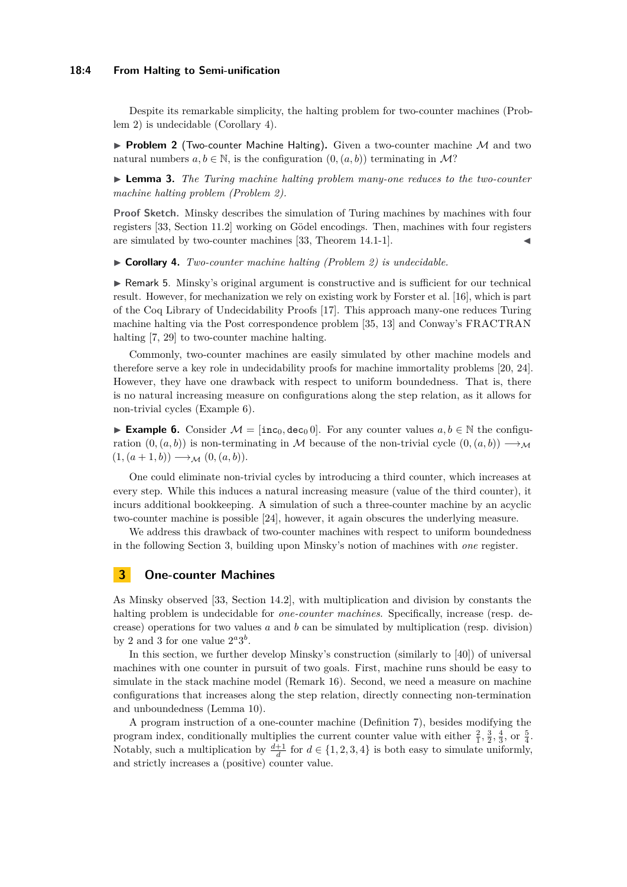#### **18:4 From Halting to Semi-unification**

Despite its remarkable simplicity, the halting problem for two-counter machines (Problem [2\)](#page-3-2) is undecidable (Corollary [4\)](#page-3-3).

<span id="page-3-2"></span> $\triangleright$  **Problem 2** (Two-counter Machine Halting). Given a two-counter machine M and two natural numbers  $a, b \in \mathbb{N}$ , is the configuration  $(0, (a, b))$  terminating in M?

<span id="page-3-0"></span>▶ **Lemma 3.** *The Turing machine halting problem many-one reduces to the two-counter machine halting problem (Problem [2\)](#page-3-2).*

**Proof Sketch.** Minsky describes the simulation of Turing machines by machines with four registers [\[33,](#page-18-6) Section 11.2] working on Gödel encodings. Then, machines with four registers are simulated by two-counter machines  $[33,$  Theorem 14.1-1].

<span id="page-3-3"></span>▶ **Corollary 4.** *Two-counter machine halting (Problem [2\)](#page-3-2) is undecidable.*

▶ Remark 5. Minsky's original argument is constructive and is sufficient for our technical result. However, for mechanization we rely on existing work by Forster et al. [\[16\]](#page-17-10), which is part of the Coq Library of Undecidability Proofs [\[17\]](#page-17-9). This approach many-one reduces Turing machine halting via the Post correspondence problem [\[35,](#page-18-7) [13\]](#page-16-6) and Conway's FRACTRAN halting [\[7,](#page-16-7) [29\]](#page-17-11) to two-counter machine halting.

Commonly, two-counter machines are easily simulated by other machine models and therefore serve a key role in undecidability proofs for machine immortality problems [\[20,](#page-17-7) [24\]](#page-17-8). However, they have one drawback with respect to uniform boundedness. That is, there is no natural increasing measure on configurations along the step relation, as it allows for non-trivial cycles (Example [6\)](#page-3-4).

<span id="page-3-4"></span>**► Example 6.** Consider  $M = [\text{inc}_0, \text{dec}_0, 0]$ . For any counter values  $a, b \in \mathbb{N}$  the configuration  $(0, (a, b))$  is non-terminating in M because of the non-trivial cycle  $(0, (a, b)) \longrightarrow \mathcal{M}$  $(1, (a+1,b)) \longrightarrow_M (0, (a,b)).$ 

One could eliminate non-trivial cycles by introducing a third counter, which increases at every step. While this induces a natural increasing measure (value of the third counter), it incurs additional bookkeeping. A simulation of such a three-counter machine by an acyclic two-counter machine is possible [\[24\]](#page-17-8), however, it again obscures the underlying measure.

We address this drawback of two-counter machines with respect to uniform boundedness in the following Section [3,](#page-3-1) building upon Minsky's notion of machines with *one* register.

# <span id="page-3-1"></span>**3 One-counter Machines**

As Minsky observed [\[33,](#page-18-6) Section 14.2], with multiplication and division by constants the halting problem is undecidable for *one-counter machines*. Specifically, increase (resp. decrease) operations for two values *a* and *b* can be simulated by multiplication (resp. division) by 2 and 3 for one value  $2^a 3^b$ .

In this section, we further develop Minsky's construction (similarly to [\[40\]](#page-18-8)) of universal machines with one counter in pursuit of two goals. First, machine runs should be easy to simulate in the stack machine model (Remark [16\)](#page-5-1). Second, we need a measure on machine configurations that increases along the step relation, directly connecting non-termination and unboundedness (Lemma [10\)](#page-4-0).

A program instruction of a one-counter machine (Definition [7\)](#page-4-1), besides modifying the program index, conditionally multiplies the current counter value with either  $\frac{2}{1}, \frac{3}{2}, \frac{4}{3}$ , or  $\frac{5}{4}$ . Notably, such a multiplication by  $\frac{d+1}{d}$  for  $d \in \{1, 2, 3, 4\}$  is both easy to simulate uniformly, and strictly increases a (positive) counter value.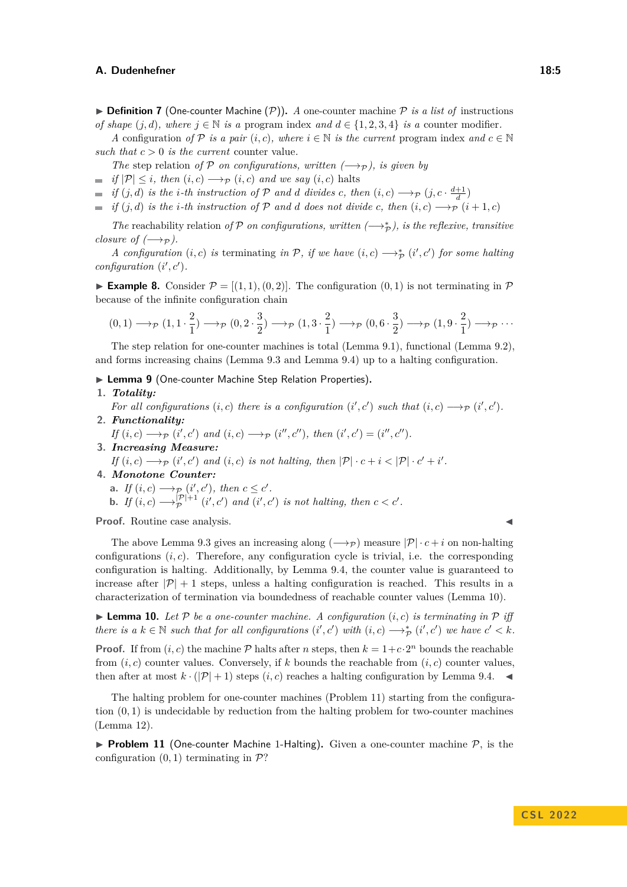<span id="page-4-1"></span> $\triangleright$  **Definition 7** (One-counter Machine  $(\mathcal{P})$ ). *A* one-counter machine  $\mathcal{P}$  *is a list of* instructions *of shape*  $(j, d)$ *, where*  $j \in \mathbb{N}$  *is a* program index *and*  $d \in \{1, 2, 3, 4\}$  *is a* counter modifier.

*A* configuration *of* P *is a pair*  $(i, c)$ *, where*  $i \in \mathbb{N}$  *is the current* program index *and*  $c \in \mathbb{N}$ such that  $c > 0$  *is the current* counter value.

*The* step relation *of*  $P$  *on configurations, written*  $(\rightarrow_{P})$ *, is given by* 

- $\Rightarrow$  *if*  $|\mathcal{P}| \leq i$ , then  $(i, c) \rightarrow_{\mathcal{P}} (i, c)$  *and we say*  $(i, c)$  halts
- *if*  $(j, d)$  *is the i-th instruction of*  $P$  *and d divides c*, *then*  $(i, c) \longrightarrow_P (j, c \cdot \frac{d+1}{d})$
- $\bullet$  *if* (*j, d*) *is the i*-th *instruction of* P *and d does not divide c, then* (*i, c*)  $\rightarrow$   $\rightarrow$   $p$  (*i* + 1*, c*)

*The* reachability relation *of*  $P$  *on configurations, written*  $(\rightarrow_{\mathcal{P}}^*)$ *, is the reflexive, transitive closure of*  $(\rightarrow_{\mathcal{P}})$ *.* 

*A configuration*  $(i, c)$  *is* terminating *in*  $\mathcal{P}$ *, if we have*  $(i, c) \longrightarrow_{\mathcal{P}}^* (i', c')$  *for some halting configuration*  $(i', c')$ *.* 

**Example 8.** Consider  $\mathcal{P} = [(1, 1), (0, 2)]$ . The configuration  $(0, 1)$  is not terminating in  $\mathcal{P}$ because of the infinite configuration chain

$$
(0,1) \longrightarrow_{\mathcal{P}} (1,1 \cdot \frac{2}{1}) \longrightarrow_{\mathcal{P}} (0,2 \cdot \frac{3}{2}) \longrightarrow_{\mathcal{P}} (1,3 \cdot \frac{2}{1}) \longrightarrow_{\mathcal{P}} (0,6 \cdot \frac{3}{2}) \longrightarrow_{\mathcal{P}} (1,9 \cdot \frac{2}{1}) \longrightarrow_{\mathcal{P}} \cdots
$$

The step relation for one-counter machines is total (Lemma [9.](#page-4-2)[1\)](#page-4-3), functional (Lemma [9.](#page-4-2)[2\)](#page-4-4), and forms increasing chains (Lemma [9.](#page-4-2)[3](#page-4-5) and Lemma [9.](#page-4-2)[4\)](#page-4-6) up to a halting configuration.

<span id="page-4-2"></span>▶ **Lemma 9** (One-counter Machine Step Relation Properties)**.**

#### <span id="page-4-3"></span>**1.** *Totality:*

<span id="page-4-4"></span>*For all configurations*  $(i, c)$  *there is a configuration*  $(i', c')$  *such that*  $(i, c) \longrightarrow_{\mathcal{P}} (i', c')$ *.* **2.** *Functionality:*

- *If*  $(i, c) \longrightarrow_{\mathcal{P}} (i', c')$  *and*  $(i, c) \longrightarrow_{\mathcal{P}} (i'', c'')$ *, then*  $(i', c') = (i'', c'')$ *.*
- <span id="page-4-6"></span><span id="page-4-5"></span>**3.** *Increasing Measure: If*  $(i, c) \longrightarrow_{\mathcal{P}} (i', c')$  *and*  $(i, c)$  *is not halting, then*  $|\mathcal{P}| \cdot c + i < |\mathcal{P}| \cdot c' + i'$ . **4.** *Monotone Counter:*
	- **a.** *If*  $(i, c) \longrightarrow_{\mathcal{P}} (i', c')$ *, then*  $c \leq c'$ *.* **b.** *If*  $(i, c) \longrightarrow_{\mathcal{P}}^{|\mathcal{P}|+1}$  $P_P^{(P|+1)}$  (*i*', *c*') *and* (*i*', *c*') *is not halting, then*  $c < c'$ .

**Proof.** Routine case analysis.

The above Lemma [9](#page-4-2)[.3](#page-4-5) gives an increasing along  $(\rightarrow p)$  measure  $|\mathcal{P}| \cdot c + i$  on non-halting configurations  $(i, c)$ . Therefore, any configuration cycle is trivial, i.e. the corresponding configuration is halting. Additionally, by Lemma [9.](#page-4-2)[4,](#page-4-6) the counter value is guaranteed to increase after  $|\mathcal{P}| + 1$  steps, unless a halting configuration is reached. This results in a characterization of termination via boundedness of reachable counter values (Lemma [10\)](#page-4-0).

<span id="page-4-0"></span> $\blacktriangleright$  **Lemma 10.** Let P be a one-counter machine. A configuration  $(i, c)$  is terminating in P iff *there is a*  $k \in \mathbb{N}$  *such that for all configurations*  $(i', c')$  *with*  $(i, c) \longrightarrow_{\mathcal{P}}^* (i', c')$  *we have*  $c' < k$ *.* 

**Proof.** If from  $(i, c)$  the machine  $\mathcal{P}$  halts after *n* steps, then  $k = 1+c \cdot 2^n$  bounds the reachable from  $(i, c)$  counter values. Conversely, if k bounds the reachable from  $(i, c)$  counter values, then after at most  $k \cdot (|\mathcal{P}| + 1)$  steps  $(i, c)$  reaches a halting configuration by Lemma [9.](#page-4-2)[4.](#page-4-6)

The halting problem for one-counter machines (Problem [11\)](#page-4-7) starting from the configuration (0*,* 1) is undecidable by reduction from the halting problem for two-counter machines (Lemma [12\)](#page-5-0).

<span id="page-4-7"></span>**• Problem 11** (One-counter Machine 1-Halting). Given a one-counter machine  $P$ , is the configuration  $(0, 1)$  terminating in  $\mathcal{P}$ ?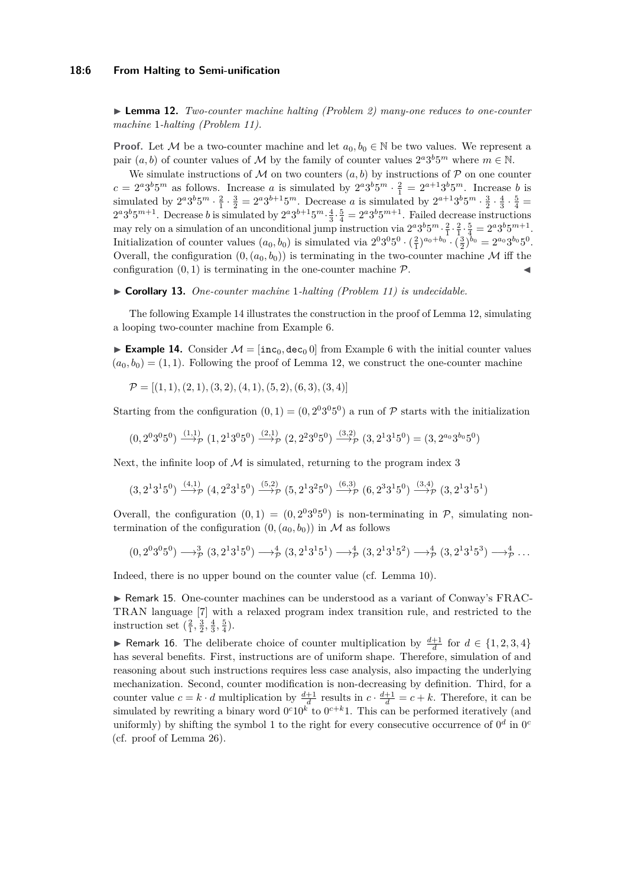#### **18:6 From Halting to Semi-unification**

<span id="page-5-0"></span>▶ **Lemma 12.** *Two-counter machine halting (Problem [2\)](#page-3-2) many-one reduces to one-counter machine* 1*-halting (Problem [11\)](#page-4-7).*

**Proof.** Let M be a two-counter machine and let  $a_0, b_0 \in \mathbb{N}$  be two values. We represent a pair  $(a, b)$  of counter values of M by the family of counter values  $2^a 3^b 5^m$  where  $m \in \mathbb{N}$ .

We simulate instructions of M on two counters  $(a, b)$  by instructions of P on one counter  $c = 2^a 3^b 5^m$  as follows. Increase *a* is simulated by  $2^a 3^b 5^m \cdot \frac{2}{1} = 2^{a+1} 3^b 5^m$ . Increase *b* is simulated by  $2^a 3^b 5^m \cdot \frac{3}{1} \cdot \frac{3}{2} = 2^a 3^{b+1} 5^m$ . Decrease *a* is simulated by  $2^{a+1} 3^b 5^m \cdot \frac{3}{2} \cdot \frac{4}{3} \cdot \frac{5}{4} =$  $2^a 3^b 5^{m+1}$ . Decrease *b* is simulated by  $2^a 3^{b+1} 5^m \cdot \frac{4}{3} \cdot \frac{5}{4} = 2^a 3^b 5^{m+1}$ . Failed decrease instructions may rely on a simulation of an unconditional jump instruction via  $2^a 3^b 5^m \cdot \frac{2}{1} \cdot \frac{2}{1} \cdot \frac{5}{4} = 2^a 3^b 5^{m+1}$ . Initialization of counter values  $(a_0, b_0)$  is simulated via  $2^0 3^0 5^0 \cdot (\frac{2}{1})^{a_0+b_0} \cdot (\frac{3}{2})^{b_0} = 2^{a_0} 3^{b_0} 5^0$ . Overall, the configuration  $(0, (a_0, b_0))$  is terminating in the two-counter machine M iff the configuration  $(0, 1)$  is terminating in the one-counter machine  $P$ .

#### ▶ **Corollary 13.** *One-counter machine* 1*-halting (Problem [11\)](#page-4-7) is undecidable.*

The following Example [14](#page-5-2) illustrates the construction in the proof of Lemma [12,](#page-5-0) simulating a looping two-counter machine from Example [6.](#page-3-4)

<span id="page-5-2"></span>▶ **Example 14.** Consider  $M = [\text{inc}_0, \text{dec}_0, 0]$  from Example [6](#page-3-4) with the initial counter values  $(a_0, b_0) = (1, 1)$ . Following the proof of Lemma [12,](#page-5-0) we construct the one-counter machine

$$
\mathcal{P} = [(1, 1), (2, 1), (3, 2), (4, 1), (5, 2), (6, 3), (3, 4)]
$$

Starting from the configuration  $(0,1) = (0, 2^0 3^0 5^0)$  a run of  $P$  starts with the initialization

$$
(0,2^03^05^0) \xrightarrow{(1,1)} (1,2^13^05^0) \xrightarrow{(2,1)} (2,2^23^05^0) \xrightarrow{(3,2)} (3,2^13^15^0) = (3,2^{a_0}3^{b_0}5^0)
$$

Next, the infinite loop of  $\mathcal M$  is simulated, returning to the program index 3

$$
(3,2^{1}3^{1}5^{0}) \xrightarrow{(4,1)} (4,2^{2}3^{1}5^{0}) \xrightarrow{(5,2)} (5,2^{1}3^{2}5^{0}) \xrightarrow{(6,3)} (6,2^{3}3^{1}5^{0}) \xrightarrow{(3,4)} (3,2^{1}3^{1}5^{1})
$$

Overall, the configuration  $(0,1) = (0,2^03^05^0)$  is non-terminating in  $P$ , simulating nontermination of the configuration  $(0, (a_0, b_0))$  in M as follows

$$
(0,2^03^05^0)\longrightarrow^3_{\mathcal{P}}(3,2^13^15^0)\longrightarrow^4_{\mathcal{P}}(3,2^13^15^1)\longrightarrow^4_{\mathcal{P}}(3,2^13^15^2)\longrightarrow^4_{\mathcal{P}}(3,2^13^15^3)\longrightarrow^4_{\mathcal{P}}\dots
$$

Indeed, there is no upper bound on the counter value (cf. Lemma [10\)](#page-4-0).

▶ Remark 15. One-counter machines can be understood as a variant of Conway's FRAC-TRAN language [\[7\]](#page-16-7) with a relaxed program index transition rule, and restricted to the instruction set  $(\frac{2}{1}, \frac{3}{2}, \frac{4}{3}, \frac{5}{4})$ .

<span id="page-5-1"></span>▶ Remark 16. The deliberate choice of counter multiplication by  $\frac{d+1}{d}$  for  $d \in \{1, 2, 3, 4\}$ has several benefits. First, instructions are of uniform shape. Therefore, simulation of and reasoning about such instructions requires less case analysis, also impacting the underlying mechanization. Second, counter modification is non-decreasing by definition. Third, for a counter value  $c = k \cdot d$  multiplication by  $\frac{d+1}{d}$  results in  $c \cdot \frac{d+1}{d} = c + k$ . Therefore, it can be simulated by rewriting a binary word  $0^c10^k$  to  $0^{c+k}1$ . This can be performed iteratively (and uniformly) by shifting the symbol 1 to the right for every consecutive occurrence of  $0^d$  in  $0^c$ (cf. proof of Lemma [26\)](#page-8-0).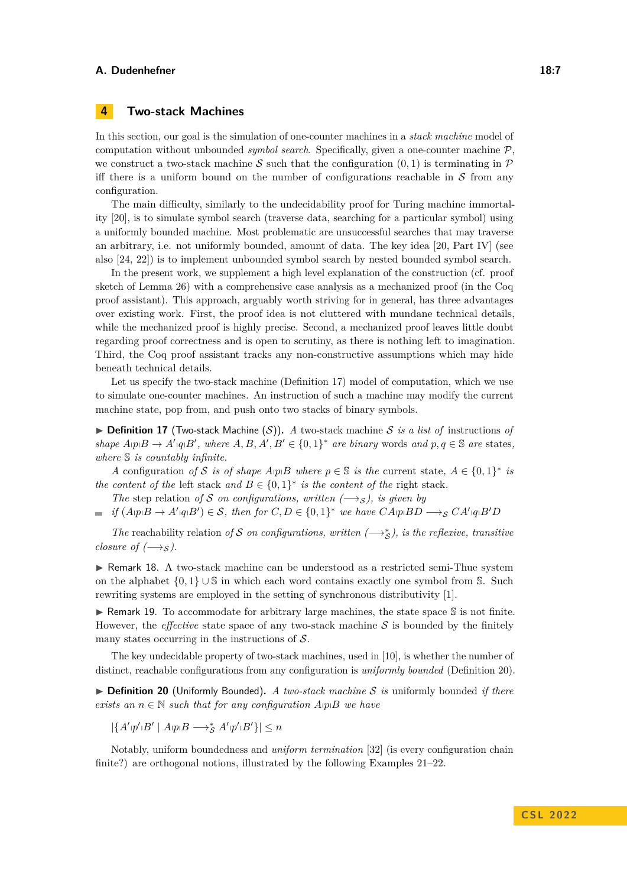# **4 Two-stack Machines**

In this section, our goal is the simulation of one-counter machines in a *stack machine* model of computation without unbounded *symbol search*. Specifically, given a one-counter machine P, we construct a two-stack machine S such that the configuration  $(0,1)$  is terminating in P iff there is a uniform bound on the number of configurations reachable in  $S$  from any configuration.

The main difficulty, similarly to the undecidability proof for Turing machine immortality [\[20\]](#page-17-7), is to simulate symbol search (traverse data, searching for a particular symbol) using a uniformly bounded machine. Most problematic are unsuccessful searches that may traverse an arbitrary, i.e. not uniformly bounded, amount of data. The key idea [\[20,](#page-17-7) Part IV] (see also [\[24,](#page-17-8) [22\]](#page-17-12)) is to implement unbounded symbol search by nested bounded symbol search.

In the present work, we supplement a high level explanation of the construction (cf. proof sketch of Lemma [26\)](#page-8-0) with a comprehensive case analysis as a mechanized proof (in the Coq proof assistant). This approach, arguably worth striving for in general, has three advantages over existing work. First, the proof idea is not cluttered with mundane technical details, while the mechanized proof is highly precise. Second, a mechanized proof leaves little doubt regarding proof correctness and is open to scrutiny, as there is nothing left to imagination. Third, the Coq proof assistant tracks any non-constructive assumptions which may hide beneath technical details.

Let us specify the two-stack machine (Definition [17\)](#page-6-0) model of computation, which we use to simulate one-counter machines. An instruction of such a machine may modify the current machine state, pop from, and push onto two stacks of binary symbols.

<span id="page-6-0"></span> $\triangleright$  **Definition 17** (Two-stack Machine (S)). *A* two-stack machine *S is a list of* instructions *of shape*  $A$ <sub>*lp*</sub> $B \rightarrow A'$ <sub>*lq*</sub> $B'$ *, where*  $A, B, A', B' \in \{0, 1\}^*$  *are binary* words *and*  $p, q \in \mathbb{S}$  *are* states*, where* S *is countably infinite.*

*A* configuration *of* S *is of shape*  $A$ *pB where*  $p \in \mathbb{S}$  *is the* current state,  $A \in \{0,1\}^*$  *is the content of the* left stack and  $B \in \{0,1\}^*$  *is the content of the* right stack.

*The* step relation *of* S *on configurations, written*  $(\rightarrow s)$ *, is given by* 

*if*  $(A \cap B \to A' \cap B') \in S$ , then for  $C, D \in \{0, 1\}^*$  we have  $CA \cap B$   $\to_S CA' \cap B'$ 

*The* reachability relation *of* S *on configurations, written*  $(\rightarrow \star_{S}^*)$ *, is the reflexive, transitive closure of*  $(\rightarrow s)$ *.* 

▶ Remark 18. A two-stack machine can be understood as a restricted semi-Thue system on the alphabet  $\{0,1\} \cup \mathbb{S}$  in which each word contains exactly one symbol from S. Such rewriting systems are employed in the setting of synchronous distributivity [\[1\]](#page-16-8).

 $\triangleright$  Remark 19. To accommodate for arbitrary large machines, the state space S is not finite. However, the *effective* state space of any two-stack machine  $S$  is bounded by the finitely many states occurring in the instructions of  $S$ .

The key undecidable property of two-stack machines, used in [\[10\]](#page-16-2), is whether the number of distinct, reachable configurations from any configuration is *uniformly bounded* (Definition [20\)](#page-6-1).

<span id="page-6-1"></span>▶ **Definition 20** (Uniformly Bounded)**.** *A two-stack machine* S *is* uniformly bounded *if there exists an*  $n \in \mathbb{N}$  *such that for any configuration*  $A_{\mathcal{P}} \mathcal{P}$  *we have* 

 $|\{A' \, | \, p' \, | \, B' \mid A \, | \, p \, | \, B \longrightarrow_S^* A' \, | \, p' \, | \, B' \}|\leq n$ 

<span id="page-6-2"></span>Notably, uniform boundedness and *uniform termination* [\[32\]](#page-18-9) (is every configuration chain finite?) are orthogonal notions, illustrated by the following Examples [21–](#page-6-2)[22.](#page-7-1)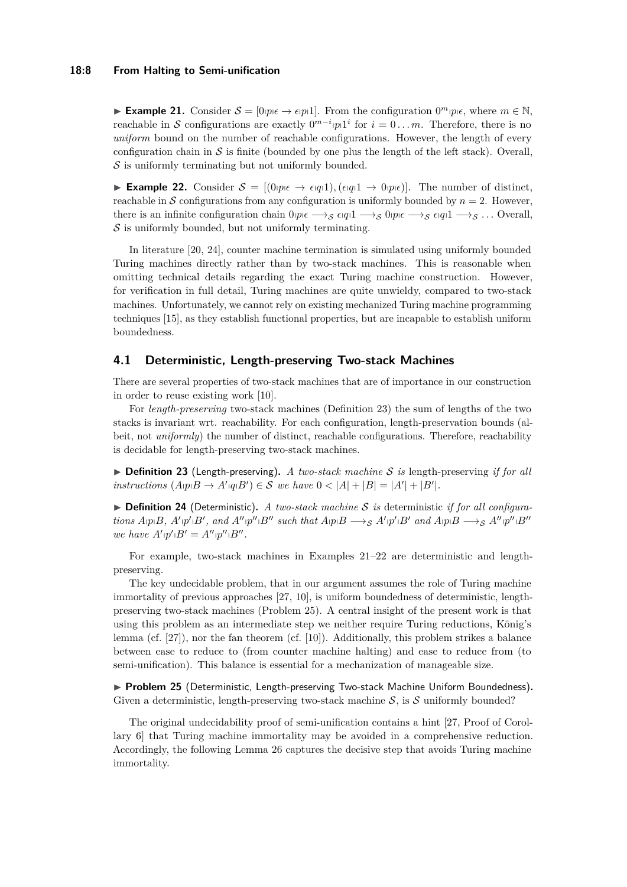#### **18:8 From Halting to Semi-unification**

**► Example 21.** Consider  $S = [0, p \in \mathbb{R}]$  From the configuration  $0^m p \in \mathbb{R}$ , where  $m \in \mathbb{N}$ , reachable in S configurations are exactly  $0^{m-i}$  *p*<sup>1</sup><sup>*i*</sup> for  $i = 0...m$ . Therefore, there is no *uniform* bound on the number of reachable configurations. However, the length of every configuration chain in  $\mathcal S$  is finite (bounded by one plus the length of the left stack). Overall,  $S$  is uniformly terminating but not uniformly bounded.

<span id="page-7-1"></span>▶ **Example 22.** Consider  $S = [(0p<sub>i</sub>θ + εq<sub>i</sub>q<sub>i</sub>)]$ ,  $(\epsilon<sub>i</sub>q<sub>i</sub>1 → 0p<sub>i</sub>ε)]$ . The number of distinct, reachable in S configurations from any configuration is uniformly bounded by  $n = 2$ . However, there is an infinite configuration chain  $0$ *p*<sub>*i*</sub> $\epsilon \rightarrow_S \epsilon$ <sub>*i*</sub>*q*<sub>1</sub> $1 \rightarrow_S \epsilon$ <sub>*o*</sub>*q*<sub>1</sub> $1 \rightarrow_S \epsilon$ <sub>*...*</sub> Overall,  $\mathcal S$  is uniformly bounded, but not uniformly terminating.

In literature [\[20,](#page-17-7) [24\]](#page-17-8), counter machine termination is simulated using uniformly bounded Turing machines directly rather than by two-stack machines. This is reasonable when omitting technical details regarding the exact Turing machine construction. However, for verification in full detail, Turing machines are quite unwieldy, compared to two-stack machines. Unfortunately, we cannot rely on existing mechanized Turing machine programming techniques [\[15\]](#page-17-13), as they establish functional properties, but are incapable to establish uniform boundedness.

## <span id="page-7-0"></span>**4.1 Deterministic, Length-preserving Two-stack Machines**

There are several properties of two-stack machines that are of importance in our construction in order to reuse existing work [\[10\]](#page-16-2).

For *length-preserving* two-stack machines (Definition [23\)](#page-7-2) the sum of lengths of the two stacks is invariant wrt. reachability. For each configuration, length-preservation bounds (albeit, not *uniformly*) the number of distinct, reachable configurations. Therefore, reachability is decidable for length-preserving two-stack machines.

<span id="page-7-2"></span>▶ **Definition 23** (Length-preserving)**.** *A two-stack machine* S *is* length-preserving *if for all instructions*  $(A \uplus B \to A' \uplus B') \in S$  *we have*  $0 < |A| + |B| = |A'| + |B'|$ *.* 

 $\triangleright$  **Definition 24** (Deterministic). A two-stack machine S is deterministic *if for all configura*tions ApplB, A'|p'|B', and A''|p''|B'' such that A|p|B  $\rightarrow$  S A'|p'|B' and A|p|B  $\rightarrow$  S A''|p''|B'' *we have*  $A' \, p' \, B' = A'' \, p'' \, B''$ .

For example, two-stack machines in Examples [21–](#page-6-2)[22](#page-7-1) are deterministic and lengthpreserving.

The key undecidable problem, that in our argument assumes the role of Turing machine immortality of previous approaches [\[27,](#page-17-3) [10\]](#page-16-2), is uniform boundedness of deterministic, lengthpreserving two-stack machines (Problem [25\)](#page-7-3). A central insight of the present work is that using this problem as an intermediate step we neither require Turing reductions, König's lemma (cf. [\[27\]](#page-17-3)), nor the fan theorem (cf. [\[10\]](#page-16-2)). Additionally, this problem strikes a balance between ease to reduce to (from counter machine halting) and ease to reduce from (to semi-unification). This balance is essential for a mechanization of manageable size.

<span id="page-7-3"></span>▶ **Problem 25** (Deterministic, Length-preserving Two-stack Machine Uniform Boundedness)**.** Given a deterministic, length-preserving two-stack machine  $S$ , is S uniformly bounded?

The original undecidability proof of semi-unification contains a hint [\[27,](#page-17-3) Proof of Corollary 6] that Turing machine immortality may be avoided in a comprehensive reduction. Accordingly, the following Lemma [26](#page-8-0) captures the decisive step that avoids Turing machine immortality.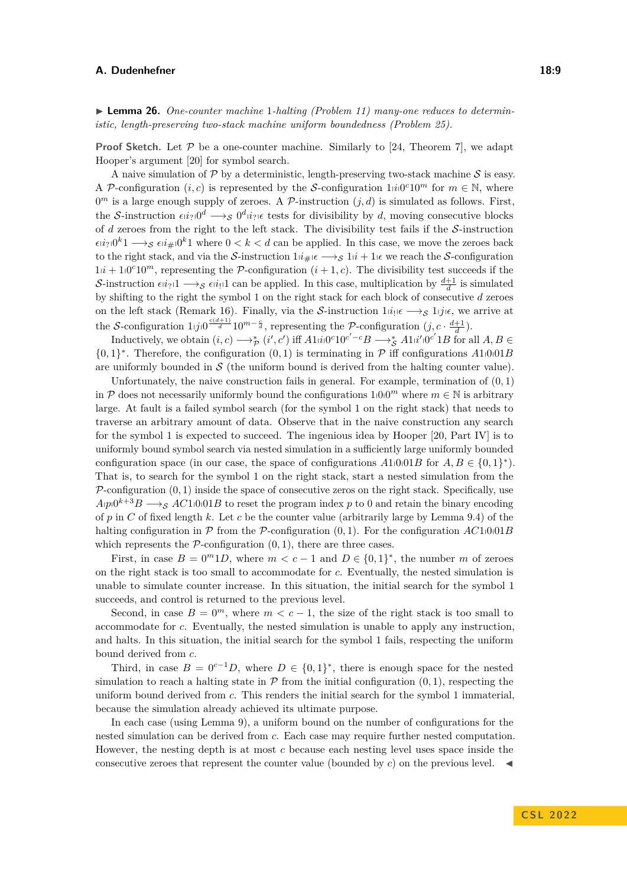<span id="page-8-0"></span>▶ **Lemma 26.** *One-counter machine* 1-*halting (Problem [11\)](#page-4-7)* many-one reduces to determin*istic, length-preserving two-stack machine uniform boundedness (Problem [25\)](#page-7-3).*

**Proof Sketch.** Let  $P$  be a one-counter machine. Similarly to [\[24,](#page-17-8) Theorem 7], we adapt Hooper's argument [\[20\]](#page-17-7) for symbol search.

A naive simulation of  $\mathcal P$  by a deterministic, length-preserving two-stack machine  $\mathcal S$  is easy. A P-configuration  $(i, c)$  is represented by the S-configuration  $1 \dot{i} 0^c 10^m$  for  $m \in \mathbb{N}$ , where  $0^m$  is a large enough supply of zeroes. A P-instruction  $(j, d)$  is simulated as follows. First, the S-instruction  $\epsilon i i_? 0^d \longrightarrow_{\mathcal{S}} 0^d i_? \epsilon$  tests for divisibility by *d*, moving consecutive blocks of *d* zeroes from the right to the left stack. The divisibility test fails if the S-instruction  $\epsilon i i_? 0^k1 \longrightarrow_{\mathcal{S}} \epsilon i i_{\#} 0^k1$  where  $0 < k < d$  can be applied. In this case, we move the zeroes back to the right stack, and via the S-instruction  $1i\#e \rightarrow_{\mathcal{S}} 1i + 1e$  we reach the S-configuration  $1/i + 10^{\circ}10^m$ , representing the P-configuration  $(i + 1, c)$ . The divisibility test succeeds if the S-instruction  $\epsilon i i_?1 \longrightarrow_S \epsilon i i_!1$  can be applied. In this case, multiplication by  $\frac{d+1}{d}$  is simulated by shifting to the right the symbol 1 on the right stack for each block of consecutive *d* zeroes on the left stack (Remark [16\)](#page-5-1). Finally, via the S-instruction  $1/i_1 \in \longrightarrow_S 1/j_1 \in$ , we arrive at the S-configuration  $1_{j}j_{0}\frac{c(d+1)}{d}10^{m-\frac{c}{d}}$ , representing the P-configuration  $(j, c \cdot \frac{d+1}{d})$ .

Inductively, we obtain  $(i, c) \longrightarrow_{\mathcal{P}}^* (i', c')$  iff  $A1_i i_0 0^c 10^{c' - c} B \longrightarrow_{\mathcal{S}}^* A1_i i'_0 0^{c'} 1B$  for all  $A, B \in$  $\{0,1\}^*$ . Therefore, the configuration  $(0,1)$  is terminating in  $\mathcal P$  iff configurations  $A1_00_01B$ are uniformly bounded in  $S$  (the uniform bound is derived from the halting counter value).

Unfortunately, the naive construction fails in general. For example, termination of (0*,* 1) in P does not necessarily uniformly bound the configurations  $1000^m$  where  $m \in \mathbb{N}$  is arbitrary large. At fault is a failed symbol search (for the symbol 1 on the right stack) that needs to traverse an arbitrary amount of data. Observe that in the naive construction any search for the symbol 1 is expected to succeed. The ingenious idea by Hooper [\[20,](#page-17-7) Part IV] is to uniformly bound symbol search via nested simulation in a sufficiently large uniformly bounded configuration space (in our case, the space of configurations  $A1_0001B$  for  $A, B \in \{0, 1\}^*$ ). That is, to search for the symbol 1 on the right stack, start a nested simulation from the  $P$ -configuration  $(0, 1)$  inside the space of consecutive zeros on the right stack. Specifically, use  $A$ <sub>p</sub><sup>0</sup><sup>k+3</sup> $B \longrightarrow$ s *AC*1<sup>0</sup><sub>0</sub><sup>1</sup> $B$  to reset the program index *p* to 0 and retain the binary encoding of *p* in *C* of fixed length *k*. Let *c* be the counter value (arbitrarily large by Lemma [9.](#page-4-2)[4\)](#page-4-6) of the halting configuration in  $\mathcal P$  from the  $\mathcal P$ -configuration  $(0,1)$ . For the configuration  $AC1|0|01B$ which represents the  $P$ -configuration  $(0, 1)$ , there are three cases.

First, in case  $B = 0^m 1D$ , where  $m < c - 1$  and  $D \in \{0, 1\}^*$ , the number m of zeroes on the right stack is too small to accommodate for *c*. Eventually, the nested simulation is unable to simulate counter increase. In this situation, the initial search for the symbol 1 succeeds, and control is returned to the previous level.

Second, in case  $B = 0<sup>m</sup>$ , where  $m < c - 1$ , the size of the right stack is too small to accommodate for *c*. Eventually, the nested simulation is unable to apply any instruction, and halts. In this situation, the initial search for the symbol 1 fails, respecting the uniform bound derived from *c*.

Third, in case  $B = 0^{c-1}D$ , where  $D \in \{0,1\}^*$ , there is enough space for the nested simulation to reach a halting state in  $P$  from the initial configuration  $(0, 1)$ , respecting the uniform bound derived from *c*. This renders the initial search for the symbol 1 immaterial, because the simulation already achieved its ultimate purpose.

In each case (using Lemma [9\)](#page-4-2), a uniform bound on the number of configurations for the nested simulation can be derived from *c*. Each case may require further nested computation. However, the nesting depth is at most *c* because each nesting level uses space inside the consecutive zeroes that represent the counter value (bounded by *c*) on the previous level. ◀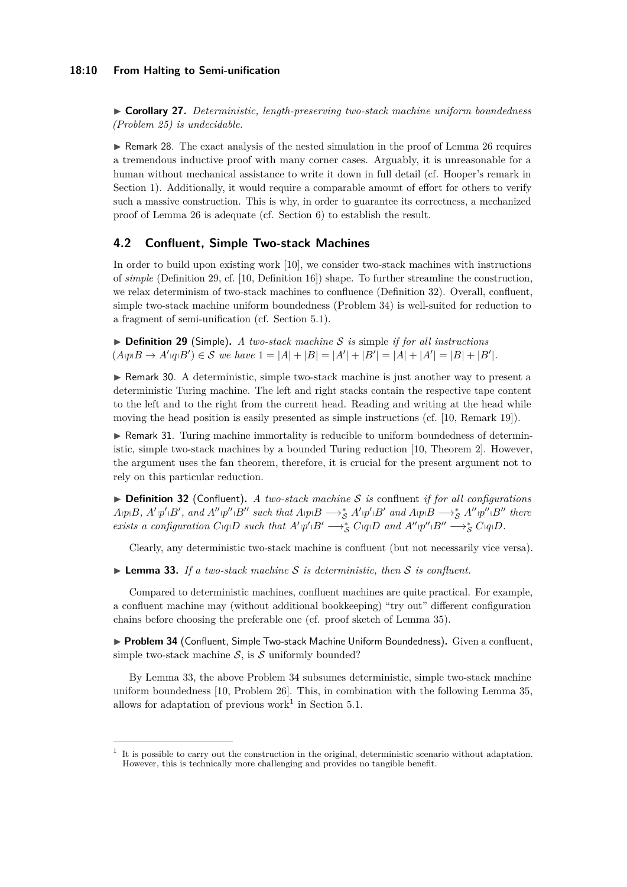#### **18:10 From Halting to Semi-unification**

▶ **Corollary 27.** *Deterministic, length-preserving two-stack machine uniform boundedness (Problem [25\)](#page-7-3) is undecidable.*

▶ Remark 28. The exact analysis of the nested simulation in the proof of Lemma [26](#page-8-0) requires a tremendous inductive proof with many corner cases. Arguably, it is unreasonable for a human without mechanical assistance to write it down in full detail (cf. Hooper's remark in Section [1\)](#page-0-0). Additionally, it would require a comparable amount of effort for others to verify such a massive construction. This is why, in order to guarantee its correctness, a mechanized proof of Lemma [26](#page-8-0) is adequate (cf. Section [6\)](#page-13-1) to establish the result.

# <span id="page-9-0"></span>**4.2 Confluent, Simple Two-stack Machines**

In order to build upon existing work [\[10\]](#page-16-2), we consider two-stack machines with instructions of *simple* (Definition [29,](#page-9-1) cf. [\[10,](#page-16-2) Definition 16]) shape. To further streamline the construction, we relax determinism of two-stack machines to confluence (Definition [32\)](#page-9-2). Overall, confluent, simple two-stack machine uniform boundedness (Problem [34\)](#page-9-3) is well-suited for reduction to a fragment of semi-unification (cf. Section [5.1\)](#page-11-0).

<span id="page-9-1"></span>▶ **Definition 29** (Simple)**.** *A two-stack machine* S *is* simple *if for all instructions*  $(A \cap B \rightarrow A' \cap B') \in S$  *we have*  $1 = |A| + |B| = |A'| + |B'| = |A| + |A'| = |B| + |B'|$ .

▶ Remark 30. A deterministic, simple two-stack machine is just another way to present a deterministic Turing machine. The left and right stacks contain the respective tape content to the left and to the right from the current head. Reading and writing at the head while moving the head position is easily presented as simple instructions (cf. [\[10,](#page-16-2) Remark 19]).

▶ Remark 31. Turing machine immortality is reducible to uniform boundedness of deterministic, simple two-stack machines by a bounded Turing reduction [\[10,](#page-16-2) Theorem 2]. However, the argument uses the fan theorem, therefore, it is crucial for the present argument not to rely on this particular reduction.

<span id="page-9-2"></span>▶ **Definition 32** (Confluent)**.** *A two-stack machine* S *is* confluent *if for all configurations*  $A$ <sub>1</sub> $p$ <sup>1</sup> $B$ ,  $A'$ <sub>1</sub> $p'$ <sup>1</sup> $B'$ , and  $A''$ <sub>1</sub> $p''$ <sub>1</sub> $B''$  such that  $A$ <sub>1</sub> $p$ <sup>1</sup> $B \longrightarrow_S^* A'$ <sub>1</sub> $p'$ <sup>1</sup> $B'$  and  $A$ <sub>1</sub> $p$ <sup>1</sup> $B \longrightarrow_S^* A''$ <sub>1</sub> $p''$ <sub>1</sub> $B''$  there exists a configuration  $C_{\vert q\vert}D$  such that  $A'\vert p'\vert B'\longrightarrow_S^* C\vert q\vert D$  and  $A''\vert p''\vert B''\longrightarrow_S^* C\vert q\vert D$ .

Clearly, any deterministic two-stack machine is confluent (but not necessarily vice versa).

<span id="page-9-4"></span> $\blacktriangleright$  **Lemma 33.** If a two-stack machine S is deterministic, then S is confluent.

Compared to deterministic machines, confluent machines are quite practical. For example, a confluent machine may (without additional bookkeeping) "try out" different configuration chains before choosing the preferable one (cf. proof sketch of Lemma [35\)](#page-10-0).

<span id="page-9-3"></span>▶ **Problem 34** (Confluent, Simple Two-stack Machine Uniform Boundedness). Given a confluent, simple two-stack machine  $S$ , is  $S$  uniformly bounded?

By Lemma [33,](#page-9-4) the above Problem [34](#page-9-3) subsumes deterministic, simple two-stack machine uniform boundedness [\[10,](#page-16-2) Problem 26]. This, in combination with the following Lemma [35,](#page-10-0) allows for adaptation of previous work<sup>[1](#page-9-5)</sup> in Section [5.1.](#page-11-0)

<span id="page-9-5"></span><sup>1</sup> It is possible to carry out the construction in the original, deterministic scenario without adaptation. However, this is technically more challenging and provides no tangible benefit.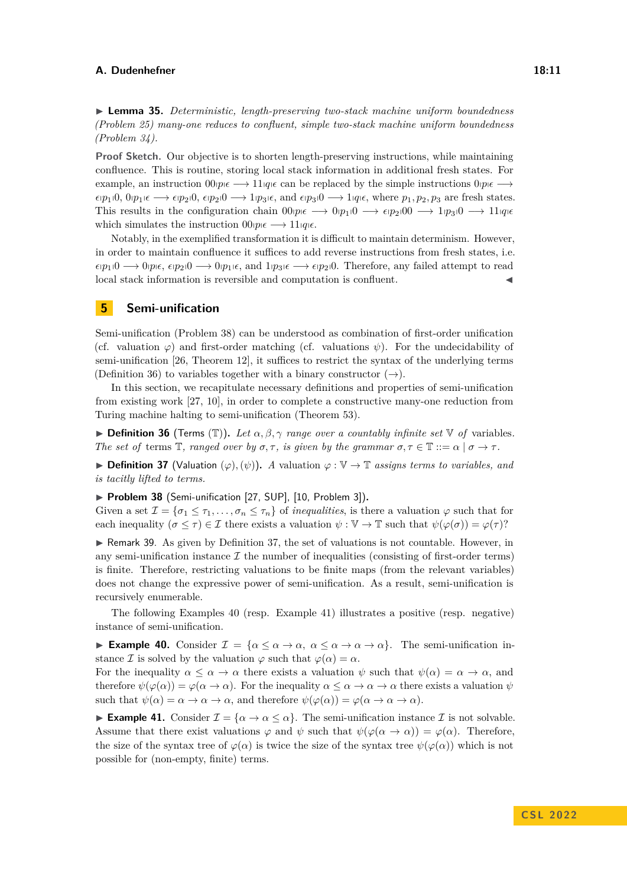<span id="page-10-0"></span>▶ **Lemma 35.** *Deterministic, length-preserving two-stack machine uniform boundedness (Problem [25\)](#page-7-3) many-one reduces to confluent, simple two-stack machine uniform boundedness (Problem [34\)](#page-9-3).*

Proof Sketch. Our objective is to shorten length-preserving instructions, while maintaining confluence. This is routine, storing local stack information in additional fresh states. For example, an instruction  $00p \in \rightarrow 11q \in \text{can}$  be replaced by the simple instructions  $0p \in \rightarrow$  $\epsilon(p_1|0, 0|p_1|\epsilon \longrightarrow \epsilon(p_2|0, \epsilon(p_2|0 \longrightarrow 1|p_3|\epsilon, \text{ and } \epsilon(p_3|0 \longrightarrow 1|q_1\epsilon, \text{ where } p_1, p_2, p_3 \text{ are fresh states.}$ This results in the configuration chain  $00p_1\epsilon \rightarrow 0p_1\epsilon \rightarrow \epsilon p_2\epsilon 0$   $\rightarrow 1p_3\epsilon \rightarrow 11q_1\epsilon$ which simulates the instruction  $00$ *p*<sub> $\rho \in \rightarrow 11$ *q*<sub>i</sub> $\epsilon$ .</sub>

Notably, in the exemplified transformation it is difficult to maintain determinism. However, in order to maintain confluence it suffices to add reverse instructions from fresh states, i.e.  $\epsilon$ <sub>p</sub><sub>1</sub>(0  $\rightarrow$  0p<sub>l</sub> $\epsilon$ ,  $\epsilon$ <sub>p</sub><sub>2</sub>(0  $\rightarrow$  0<sub>l</sub><sub>p<sub>1</sub> $\epsilon$ , and 1<sub>l</sub><sub>p<sub>3</sub> $\epsilon$   $\rightarrow$   $\epsilon$ <sub>p</sub><sub>2</sub>(0. Therefore, any failed attempt to read</sub></sub> local stack information is reversible and computation is confluent. ◀

# **5 Semi-unification**

Semi-unification (Problem [38\)](#page-10-1) can be understood as combination of first-order unification (cf. valuation  $\varphi$ ) and first-order matching (cf. valuations  $\psi$ ). For the undecidability of semi-unification [\[26,](#page-17-0) Theorem 12], it suffices to restrict the syntax of the underlying terms (Definition [36\)](#page-10-2) to variables together with a binary constructor  $(\rightarrow)$ .

In this section, we recapitulate necessary definitions and properties of semi-unification from existing work [\[27,](#page-17-3) [10\]](#page-16-2), in order to complete a constructive many-one reduction from Turing machine halting to semi-unification (Theorem [53\)](#page-13-0).

<span id="page-10-2"></span> $\triangleright$  **Definition 36** (Terms (T)). Let  $\alpha, \beta, \gamma$  range over a countably infinite set  $\mathbb{V}$  of variables. *The set of* terms  $\mathbb{T}$ *, ranged over by*  $\sigma$ *,*  $\tau$ *, is given by the grammar*  $\sigma$ *,*  $\tau \in \mathbb{T}$  ::=  $\alpha \mid \sigma \to \tau$ *.* 

<span id="page-10-3"></span>**► Definition 37** (Valuation  $(\varphi), (\psi)$ ). *A* valuation  $\varphi : \mathbb{V} \to \mathbb{T}$  assigns terms to variables, and *is tacitly lifted to terms.*

<span id="page-10-1"></span>▶ **Problem 38** (Semi-unification [\[27,](#page-17-3) SUP], [\[10,](#page-16-2) Problem 3])**.**

Given a set  $\mathcal{I} = {\sigma_1 \leq \tau_1, \ldots, \sigma_n \leq \tau_n}$  of *inequalities*, is there a valuation  $\varphi$  such that for each inequality  $(\sigma \leq \tau) \in \mathcal{I}$  there exists a valuation  $\psi : \mathbb{V} \to \mathbb{T}$  such that  $\psi(\varphi(\sigma)) = \varphi(\tau)$ ?

<span id="page-10-6"></span>▶ Remark 39. As given by Definition [37,](#page-10-3) the set of valuations is not countable. However, in any semi-unification instance  $\mathcal I$  the number of inequalities (consisting of first-order terms) is finite. Therefore, restricting valuations to be finite maps (from the relevant variables) does not change the expressive power of semi-unification. As a result, semi-unification is recursively enumerable.

The following Examples [40](#page-10-4) (resp. Example [41\)](#page-10-5) illustrates a positive (resp. negative) instance of semi-unification.

<span id="page-10-4"></span>**► Example 40.** Consider  $\mathcal{I} = {\alpha \leq \alpha \to \alpha, \ \alpha \leq \alpha \to \alpha \to \alpha}.$  The semi-unification instance *I* is solved by the valuation  $\varphi$  such that  $\varphi(\alpha) = \alpha$ .

For the inequality  $\alpha \leq \alpha \to \alpha$  there exists a valuation  $\psi$  such that  $\psi(\alpha) = \alpha \to \alpha$ , and therefore  $\psi(\varphi(\alpha)) = \varphi(\alpha \to \alpha)$ . For the inequality  $\alpha \leq \alpha \to \alpha \to \alpha$  there exists a valuation  $\psi$ such that  $\psi(\alpha) = \alpha \to \alpha \to \alpha$ , and therefore  $\psi(\varphi(\alpha)) = \varphi(\alpha \to \alpha \to \alpha)$ .

<span id="page-10-5"></span>**Example 41.** Consider  $\mathcal{I} = {\alpha \to \alpha \leq \alpha}$ . The semi-unification instance  $\mathcal{I}$  is not solvable. Assume that there exist valuations  $\varphi$  and  $\psi$  such that  $\psi(\varphi(\alpha \to \alpha)) = \varphi(\alpha)$ . Therefore, the size of the syntax tree of  $\varphi(\alpha)$  is twice the size of the syntax tree  $\psi(\varphi(\alpha))$  which is not possible for (non-empty, finite) terms.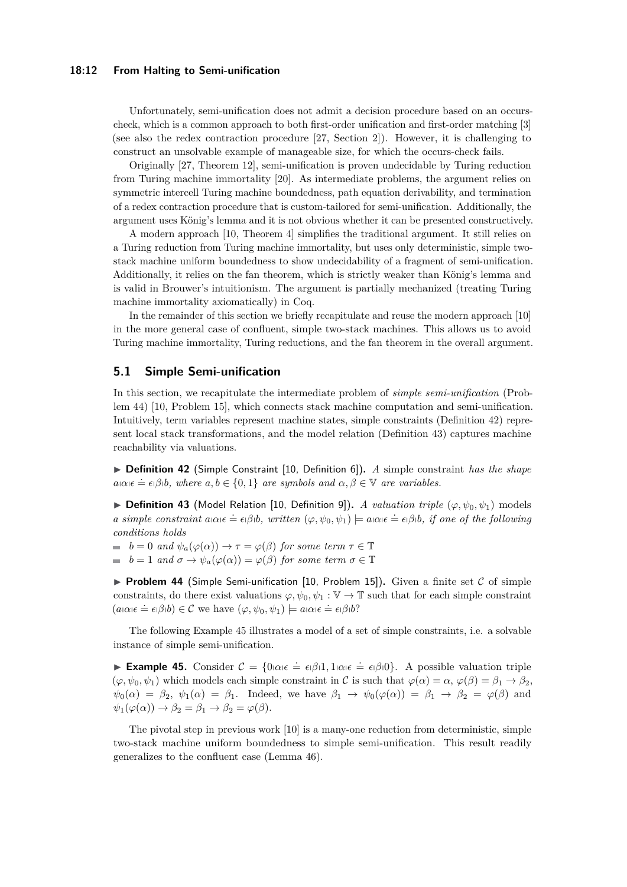#### **18:12 From Halting to Semi-unification**

Unfortunately, semi-unification does not admit a decision procedure based on an occurscheck, which is a common approach to both first-order unification and first-order matching [\[3\]](#page-16-9) (see also the redex contraction procedure [\[27,](#page-17-3) Section 2]). However, it is challenging to construct an unsolvable example of manageable size, for which the occurs-check fails.

Originally [\[27,](#page-17-3) Theorem 12], semi-unification is proven undecidable by Turing reduction from Turing machine immortality [\[20\]](#page-17-7). As intermediate problems, the argument relies on symmetric intercell Turing machine boundedness, path equation derivability, and termination of a redex contraction procedure that is custom-tailored for semi-unification. Additionally, the argument uses König's lemma and it is not obvious whether it can be presented constructively.

A modern approach [\[10,](#page-16-2) Theorem 4] simplifies the traditional argument. It still relies on a Turing reduction from Turing machine immortality, but uses only deterministic, simple twostack machine uniform boundedness to show undecidability of a fragment of semi-unification. Additionally, it relies on the fan theorem, which is strictly weaker than König's lemma and is valid in Brouwer's intuitionism. The argument is partially mechanized (treating Turing machine immortality axiomatically) in Coq.

In the remainder of this section we briefly recapitulate and reuse the modern approach [\[10\]](#page-16-2) in the more general case of confluent, simple two-stack machines. This allows us to avoid Turing machine immortality, Turing reductions, and the fan theorem in the overall argument.

## <span id="page-11-0"></span>**5.1 Simple Semi-unification**

In this section, we recapitulate the intermediate problem of *simple semi-unification* (Problem [44\)](#page-11-1) [\[10,](#page-16-2) Problem 15], which connects stack machine computation and semi-unification. Intuitively, term variables represent machine states, simple constraints (Definition [42\)](#page-11-2) represent local stack transformations, and the model relation (Definition [43\)](#page-11-3) captures machine reachability via valuations.

<span id="page-11-2"></span>▶ **Definition 42** (Simple Constraint [\[10,](#page-16-2) Definition 6])**.** *A* simple constraint *has the shape*  $a_1 \alpha_1 \epsilon \doteq \epsilon_1 \beta_1 b$ , where  $a, b \in \{0, 1\}$  *are symbols and*  $\alpha, \beta \in \mathbb{V}$  *are variables.* 

<span id="page-11-3"></span> $\triangleright$  **Definition 43** (Model Relation [\[10,](#page-16-2) Definition 9]). *A valuation triple* ( $\varphi, \psi_0, \psi_1$ ) models a simple constraint  $a\alpha \varepsilon = \varepsilon \beta b$ , written  $(\varphi, \psi_0, \psi_1) \models a\alpha \varepsilon = \varepsilon \beta b$ , if one of the following *conditions holds*

 $\bullet$  *b* = 0 and  $\psi_a(\varphi(\alpha)) \to \tau = \varphi(\beta)$  for some term  $\tau \in \mathbb{T}$  $\bullet$  *b* = 1 and  $\sigma \to \psi_a(\varphi(\alpha)) = \varphi(\beta)$  for some term  $\sigma \in \mathbb{T}$ 

<span id="page-11-1"></span>**• Problem 44** (Simple Semi-unification [\[10,](#page-16-2) Problem 15]). Given a finite set  $C$  of simple constraints, do there exist valuations  $\varphi, \psi_0, \psi_1 : \mathbb{V} \to \mathbb{T}$  such that for each simple constraint  $(a\alpha\alpha\epsilon = \epsilon_1\beta_1b) \in \mathcal{C}$  we have  $(\varphi, \psi_0, \psi_1) \models a\alpha\alpha\epsilon = \epsilon_1\beta_1b^2$ ?

The following Example [45](#page-11-4) illustrates a model of a set of simple constraints, i.e. a solvable instance of simple semi-unification.

<span id="page-11-4"></span>**Example 45.** Consider  $C = \{0 | \alpha| \in \hat{C} \in \epsilon | \beta | 1, 1 | \alpha| \in \hat{C} \in \epsilon | \beta | 0 \}$ . A possible valuation triple  $(\varphi, \psi_0, \psi_1)$  which models each simple constraint in C is such that  $\varphi(\alpha) = \alpha$ ,  $\varphi(\beta) = \beta_1 \rightarrow \beta_2$ ,  $\psi_0(\alpha) = \beta_2$ ,  $\psi_1(\alpha) = \beta_1$ . Indeed, we have  $\beta_1 \rightarrow \psi_0(\varphi(\alpha)) = \beta_1 \rightarrow \beta_2 = \varphi(\beta)$  and  $\psi_1(\varphi(\alpha)) \to \beta_2 = \beta_1 \to \beta_2 = \varphi(\beta).$ 

The pivotal step in previous work [\[10\]](#page-16-2) is a many-one reduction from deterministic, simple two-stack machine uniform boundedness to simple semi-unification. This result readily generalizes to the confluent case (Lemma [46\)](#page-12-0).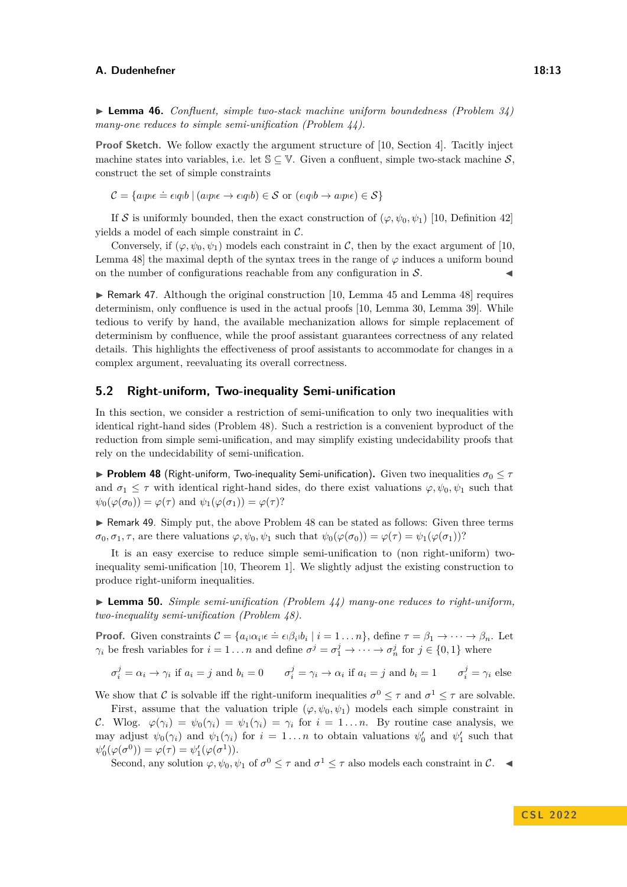<span id="page-12-0"></span>▶ **Lemma 46.** *Confluent, simple two-stack machine uniform boundedness (Problem [34\)](#page-9-3) many-one reduces to simple semi-unification (Problem [44\)](#page-11-1).*

**Proof Sketch.** We follow exactly the argument structure of [\[10,](#page-16-2) Section 4]. Tacitly inject machine states into variables, i.e. let  $\mathcal{S} \subset \mathbb{V}$ . Given a confluent, simple two-stack machine S. construct the set of simple constraints

 $\mathcal{C} = \{a$ cp $\epsilon \doteq \epsilon$ qp $b \mid (a$ cp $\epsilon \rightarrow \epsilon$ qq $b) \in \mathcal{S}$  or  $(\epsilon$ q $b \rightarrow a$ cp $\epsilon) \in \mathcal{S}\}$ 

If S is uniformly bounded, then the exact construction of  $(\varphi, \psi_0, \psi_1)$  [\[10,](#page-16-2) Definition 42] yields a model of each simple constraint in C.

Conversely, if  $(\varphi, \psi_0, \psi_1)$  models each constraint in C, then by the exact argument of [\[10,](#page-16-2) Lemma 48] the maximal depth of the syntax trees in the range of  $\varphi$  induces a uniform bound on the number of configurations reachable from any configuration in  $S$ .

▶ Remark 47. Although the original construction [\[10,](#page-16-2) Lemma 45 and Lemma 48] requires determinism, only confluence is used in the actual proofs [\[10,](#page-16-2) Lemma 30, Lemma 39]. While tedious to verify by hand, the available mechanization allows for simple replacement of determinism by confluence, while the proof assistant guarantees correctness of any related details. This highlights the effectiveness of proof assistants to accommodate for changes in a complex argument, reevaluating its overall correctness.

# <span id="page-12-1"></span>**5.2 Right-uniform, Two-inequality Semi-unification**

In this section, we consider a restriction of semi-unification to only two inequalities with identical right-hand sides (Problem [48\)](#page-12-3). Such a restriction is a convenient byproduct of the reduction from simple semi-unification, and may simplify existing undecidability proofs that rely on the undecidability of semi-unification.

<span id="page-12-3"></span>**• Problem 48** (Right-uniform, Two-inequality Semi-unification). Given two inequalities  $\sigma_0 \leq \tau$ and  $\sigma_1 \leq \tau$  with identical right-hand sides, do there exist valuations  $\varphi, \psi_0, \psi_1$  such that  $\psi_0(\varphi(\sigma_0)) = \varphi(\tau)$  and  $\psi_1(\varphi(\sigma_1)) = \varphi(\tau)$ ?

▶ Remark 49. Simply put, the above Problem [48](#page-12-3) can be stated as follows: Given three terms  $\sigma_0, \sigma_1, \tau$ , are there valuations  $\varphi, \psi_0, \psi_1$  such that  $\psi_0(\varphi(\sigma_0)) = \varphi(\tau) = \psi_1(\varphi(\sigma_1))$ ?

It is an easy exercise to reduce simple semi-unification to (non right-uniform) twoinequality semi-unification [\[10,](#page-16-2) Theorem 1]. We slightly adjust the existing construction to produce right-uniform inequalities.

<span id="page-12-2"></span>▶ **Lemma 50.** *Simple semi-unification (Problem [44\)](#page-11-1) many-one reduces to right-uniform, two-inequality semi-unification (Problem [48\)](#page-12-3).*

**Proof.** Given constraints  $\mathcal{C} = \{a_i | \alpha_i \in \mathcal{C} \in \mathcal{C} | \beta_i | b_i \mid i = 1 \dots n\}$ , define  $\tau = \beta_1 \rightarrow \cdots \rightarrow \beta_n$ . Let *γ*<sub>*i*</sub> be fresh variables for  $i = 1...n$  and define  $\sigma^j = \sigma_1^j \to \cdots \to \sigma_n^j$  for  $j \in \{0,1\}$  where

$$
\sigma_i^j = \alpha_i \to \gamma_i \text{ if } a_i = j \text{ and } b_i = 0 \qquad \sigma_i^j = \gamma_i \to \alpha_i \text{ if } a_i = j \text{ and } b_i = 1 \qquad \sigma_i^j = \gamma_i \text{ else}
$$

We show that C is solvable iff the right-uniform inequalities  $\sigma^0 \leq \tau$  and  $\sigma^1 \leq \tau$  are solvable.

First, assume that the valuation triple  $(\varphi, \psi_0, \psi_1)$  models each simple constraint in C. Wlog.  $\varphi(\gamma_i) = \psi_0(\gamma_i) = \psi_1(\gamma_i) = \gamma_i$  for  $i = 1...n$ . By routine case analysis, we may adjust  $\psi_0(\gamma_i)$  and  $\psi_1(\gamma_i)$  for  $i = 1...n$  to obtain valuations  $\psi'_0$  and  $\psi'_1$  such that  $\psi_0'(\varphi(\sigma^0)) = \varphi(\tau) = \psi_1'(\varphi(\sigma^1)).$ 

<span id="page-12-4"></span>Second, any solution  $\varphi, \psi_0, \psi_1$  of  $\sigma^0 \leq \tau$  and  $\sigma^1 \leq \tau$  also models each constraint in  $\mathcal{C}$ .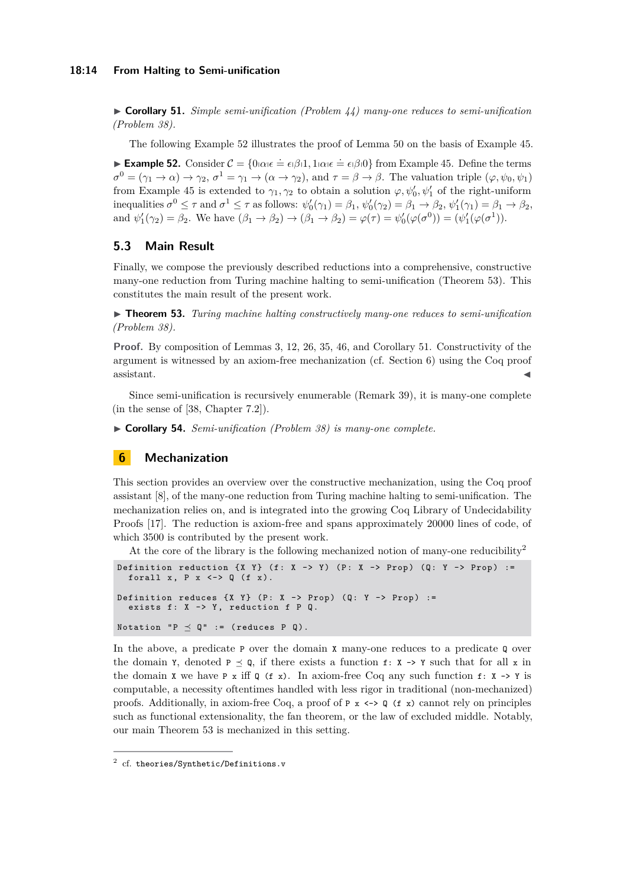▶ **Corollary 51.** *Simple semi-unification (Problem [44\)](#page-11-1) many-one reduces to semi-unification (Problem [38\)](#page-10-1).*

The following Example [52](#page-13-2) illustrates the proof of Lemma [50](#page-12-2) on the basis of Example [45.](#page-11-4)

<span id="page-13-2"></span>**Example 52.** Consider  $C = \{0 | \alpha_l \epsilon \doteq \epsilon_l \beta_l 1, 1 | \alpha_l \epsilon \doteq \epsilon_l \beta_l 0\}$  from Example [45.](#page-11-4) Define the terms  $\sigma^0 = (\gamma_1 \to \alpha) \to \gamma_2$ ,  $\sigma^1 = \gamma_1 \to (\alpha \to \gamma_2)$ , and  $\tau = \beta \to \beta$ . The valuation triple  $(\varphi, \psi_0, \psi_1)$ from Example [45](#page-11-4) is extended to  $\gamma_1, \gamma_2$  to obtain a solution  $\varphi, \psi'_0, \psi'_1$  of the right-uniform inequalities  $\sigma^0 \leq \tau$  and  $\sigma^1 \leq \tau$  as follows:  $\psi'_0(\gamma_1) = \beta_1$ ,  $\psi'_0(\gamma_2) = \beta_1 \to \beta_2$ ,  $\psi'_1(\gamma_1) = \beta_1 \to \beta_2$ , and  $\psi'_1(\gamma_2) = \beta_2$ . We have  $(\beta_1 \to \beta_2) \to (\beta_1 \to \beta_2) = \varphi(\tau) = \psi'_0(\varphi(\sigma^0)) = (\psi'_1(\varphi(\sigma^1))$ .

# **5.3 Main Result**

Finally, we compose the previously described reductions into a comprehensive, constructive many-one reduction from Turing machine halting to semi-unification (Theorem [53\)](#page-13-0). This constitutes the main result of the present work.

<span id="page-13-0"></span>▶ **Theorem 53.** *Turing machine halting constructively many-one reduces to semi-unification (Problem [38\)](#page-10-1).*

**Proof.** By composition of Lemmas [3,](#page-3-0) [12,](#page-5-0) [26,](#page-8-0) [35,](#page-10-0) [46,](#page-12-0) and Corollary [51.](#page-12-4) Constructivity of the argument is witnessed by an axiom-free mechanization (cf. Section [6\)](#page-13-1) using the Coq proof  $\bullet$  assistant.

Since semi-unification is recursively enumerable (Remark [39\)](#page-10-6), it is many-one complete (in the sense of [\[38,](#page-18-10) Chapter 7.2]).

<span id="page-13-4"></span>▶ **Corollary 54.** *Semi-unification (Problem [38\)](#page-10-1) is many-one complete.*

# <span id="page-13-1"></span>**6 Mechanization**

This section provides an overview over the constructive mechanization, using the Coq proof assistant [\[8\]](#page-16-4), of the many-one reduction from Turing machine halting to semi-unification. The mechanization relies on, and is integrated into the growing Coq Library of Undecidability Proofs [\[17\]](#page-17-9). The reduction is axiom-free and spans approximately 20000 lines of code, of which 3500 is contributed by the present work.

At the core of the library is the following mechanized notion of many-one reducibility<sup>[2](#page-13-3)</sup>

```
Definition reduction \{X \ Y\} (f: X -> Y) (P: X -> Prop) (Q: Y -> Prop) :=
  forall x, P x \leftarrow > Q (f x).
Definition reduces \{X, Y\} (P: X -> Prop) (Q: Y -> Prop) :=
  exists f: X \rightarrow Y, reduction f \in Q.
Notation "P \preceq Q" := (reduces P Q).
```
In the above, a predicate P over the domain X many-one reduces to a predicate Q over the domain Y, denoted  $P \prec Q$ , if there exists a function f: X -> Y such that for all x in the domain **x** we have **P** x iff **Q** (**f** x). In axiom-free Coq any such function **f**: **x**  $\rightarrow$  **Y** is computable, a necessity oftentimes handled with less rigor in traditional (non-mechanized) proofs. Additionally, in axiom-free Coq, a proof of  $P \times \langle -\rangle Q$  (f x) cannot rely on principles such as functional extensionality, the fan theorem, or the law of excluded middle. Notably, our main Theorem [53](#page-13-0) is mechanized in this setting.

<span id="page-13-3"></span> $^2$  cf. [theories/Synthetic/Definitions.v](https://github.com/uds-psl/coq-library-undecidability/blob/coq-8.12/theories/Synthetic/Definitions.v)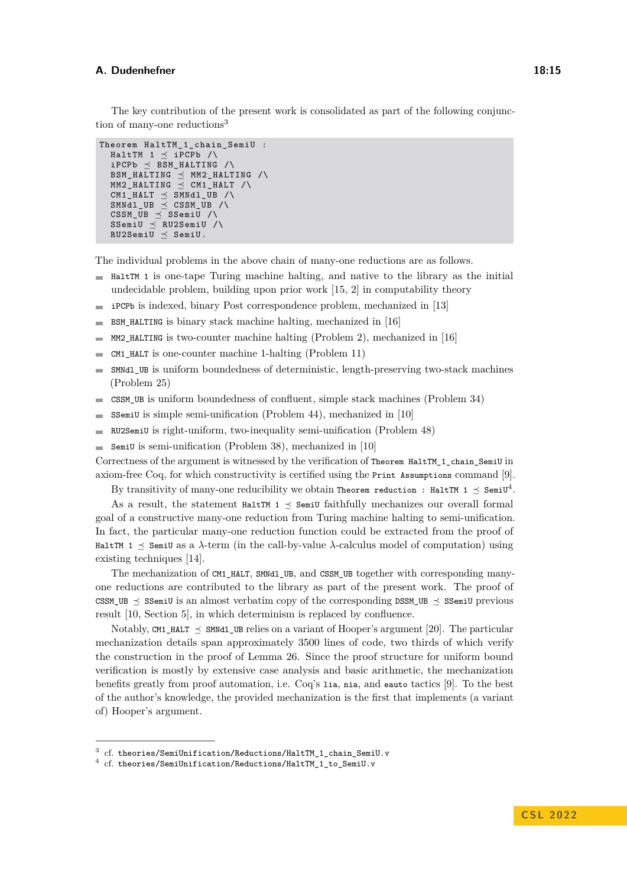The key contribution of the present work is consolidated as part of the following conjunc-tion of many-one reductions<sup>[3](#page-14-0)</sup>

```
Theorem HaltTM_1_chain_SemiU :
  HaltTM 1 \preceq iPCPb /\
  iPCPb \prec BSM_HALTING / \langleBSM_HALTING \preceq MM2_HALTING /\
  MMM2_HALTING \preceq CM1_HALT /\
  CM1_HALT \preceq SMNd1_UB / \sqrt{2}SMNdl UB \leq CSSM_UB /\
  CSSM_UB \prec SSemiU /\
  SSemiU \preceq RU2SemiU /\
  RU2Semi\overline{U} \preceq Semi\overline{U}.
```
The individual problems in the above chain of many-one reductions are as follows.

- $\blacksquare$  HaltTM 1 is one-tape Turing machine halting, and native to the library as the initial undecidable problem, building upon prior work [\[15,](#page-17-13) [2\]](#page-16-10) in computability theory
- iPCPb is indexed, binary Post correspondence problem, mechanized in [\[13\]](#page-16-6)
- BSM\_HALTING is binary stack machine halting, mechanized in [\[16\]](#page-17-10)  $\mathcal{L}$
- MM2\_HALTING is two-counter machine halting (Problem [2\)](#page-3-2), mechanized in [\[16\]](#page-17-10)  $\overline{\phantom{a}}$
- CM1\_HALT is one-counter machine 1-halting (Problem [11\)](#page-4-7)
- SMNdl\_UB is uniform boundedness of deterministic, length-preserving two-stack machines  $\sim$ (Problem [25\)](#page-7-3)
- CSSM\_UB is uniform boundedness of confluent, simple stack machines (Problem [34\)](#page-9-3)  $\mathbf{r}$
- SSemiU is simple semi-unification (Problem [44\)](#page-11-1), mechanized in [\[10\]](#page-16-2) m.
- RU2SemiU is right-uniform, two-inequality semi-unification (Problem [48\)](#page-12-3)  $\blacksquare$
- SemiU is semi-unification (Problem [38\)](#page-10-1), mechanized in [\[10\]](#page-16-2)  $\overline{a}$

Correctness of the argument is witnessed by the verification of Theorem HaltTM 1 chain SemiU in axiom-free Coq, for which constructivity is certified using the Print Assumptions command [\[9\]](#page-16-11).

By transitivity of many-one reducibility we obtain Theorem reduction : HaltTM 1  $\preceq$  SemiU<sup>[4](#page-14-1)</sup>.

As a result, the statement HaltTM  $1 \preceq$  SemiU faithfully mechanizes our overall formal goal of a constructive many-one reduction from Turing machine halting to semi-unification. In fact, the particular many-one reduction function could be extracted from the proof of HaltTM  $1 \leq$  SemiU as a  $\lambda$ -term (in the call-by-value  $\lambda$ -calculus model of computation) using existing techniques [\[14\]](#page-16-12).

The mechanization of CM1 HALT, SMNdl, UB, and CSSM UB together with corresponding manyone reductions are contributed to the library as part of the present work. The proof of CSSM\_UB  $\preceq$  SSemiU is an almost verbatim copy of the corresponding DSSM\_UB  $\preceq$  SSemiU previous result [\[10,](#page-16-2) Section 5], in which determinism is replaced by confluence.

Notably, CM1 HALT  $\prec$  SMNdl\_UB relies on a variant of Hooper's argument [\[20\]](#page-17-7). The particular mechanization details span approximately 3500 lines of code, two thirds of which verify the construction in the proof of Lemma [26.](#page-8-0) Since the proof structure for uniform bound verification is mostly by extensive case analysis and basic arithmetic, the mechanization benefits greatly from proof automation, i.e. Coq's lia, nia, and eauto tactics [\[9\]](#page-16-11). To the best of the author's knowledge, the provided mechanization is the first that implements (a variant of) Hooper's argument.

<span id="page-14-0"></span> $^3$  cf. [theories/SemiUnification/Reductions/HaltTM\\_1\\_chain\\_SemiU.v](https://github.com/uds-psl/coq-library-undecidability/blob/coq-8.12/theories/SemiUnification/Reductions/HaltTM_1_chain_SemiU.v)

<span id="page-14-1"></span> $^4$  cf. [theories/SemiUnification/Reductions/HaltTM\\_1\\_to\\_SemiU.v](https://github.com/uds-psl/coq-library-undecidability/blob/coq-8.12/theories/SemiUnification/Reductions/HaltTM_1_to_SemiU.v)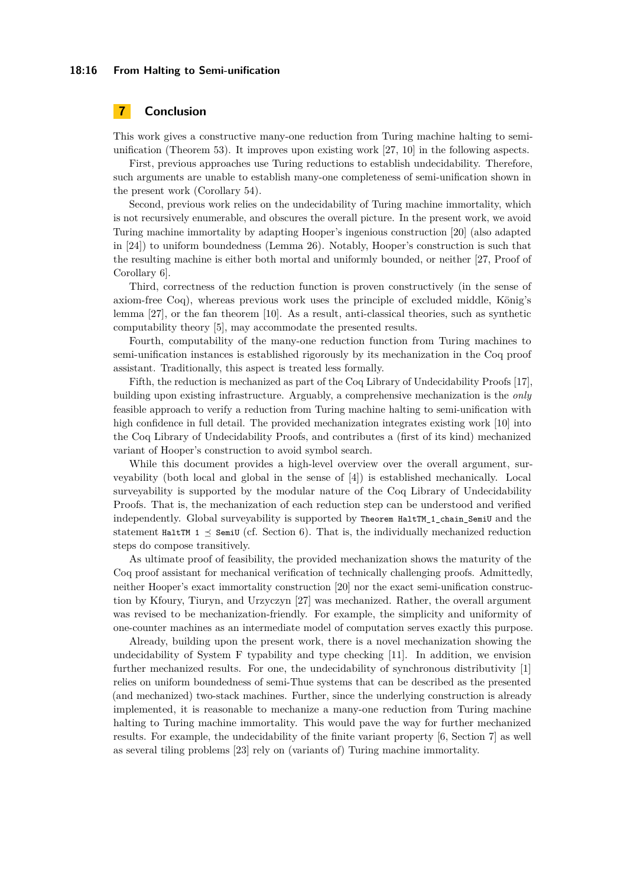#### **18:16 From Halting to Semi-unification**

# **7 Conclusion**

This work gives a constructive many-one reduction from Turing machine halting to semiunification (Theorem [53\)](#page-13-0). It improves upon existing work [\[27,](#page-17-3) [10\]](#page-16-2) in the following aspects.

First, previous approaches use Turing reductions to establish undecidability. Therefore, such arguments are unable to establish many-one completeness of semi-unification shown in the present work (Corollary [54\)](#page-13-4).

Second, previous work relies on the undecidability of Turing machine immortality, which is not recursively enumerable, and obscures the overall picture. In the present work, we avoid Turing machine immortality by adapting Hooper's ingenious construction [\[20\]](#page-17-7) (also adapted in [\[24\]](#page-17-8)) to uniform boundedness (Lemma [26\)](#page-8-0). Notably, Hooper's construction is such that the resulting machine is either both mortal and uniformly bounded, or neither [\[27,](#page-17-3) Proof of Corollary 6].

Third, correctness of the reduction function is proven constructively (in the sense of axiom-free Coq), whereas previous work uses the principle of excluded middle, König's lemma [\[27\]](#page-17-3), or the fan theorem [\[10\]](#page-16-2). As a result, anti-classical theories, such as synthetic computability theory [\[5\]](#page-16-3), may accommodate the presented results.

Fourth, computability of the many-one reduction function from Turing machines to semi-unification instances is established rigorously by its mechanization in the Coq proof assistant. Traditionally, this aspect is treated less formally.

Fifth, the reduction is mechanized as part of the Coq Library of Undecidability Proofs [\[17\]](#page-17-9), building upon existing infrastructure. Arguably, a comprehensive mechanization is the *only* feasible approach to verify a reduction from Turing machine halting to semi-unification with high confidence in full detail. The provided mechanization integrates existing work [\[10\]](#page-16-2) into the Coq Library of Undecidability Proofs, and contributes a (first of its kind) mechanized variant of Hooper's construction to avoid symbol search.

While this document provides a high-level overview over the overall argument, surveyability (both local and global in the sense of [\[4\]](#page-16-1)) is established mechanically. Local surveyability is supported by the modular nature of the Coq Library of Undecidability Proofs. That is, the mechanization of each reduction step can be understood and verified independently. Global surveyability is supported by Theorem HaltTM\_1\_chain\_SemiU and the statement HaltTM 1  $\leq$  SemiU (cf. Section [6\)](#page-13-1). That is, the individually mechanized reduction steps do compose transitively.

As ultimate proof of feasibility, the provided mechanization shows the maturity of the Coq proof assistant for mechanical verification of technically challenging proofs. Admittedly, neither Hooper's exact immortality construction [\[20\]](#page-17-7) nor the exact semi-unification construction by Kfoury, Tiuryn, and Urzyczyn [\[27\]](#page-17-3) was mechanized. Rather, the overall argument was revised to be mechanization-friendly. For example, the simplicity and uniformity of one-counter machines as an intermediate model of computation serves exactly this purpose.

Already, building upon the present work, there is a novel mechanization showing the undecidability of System F typability and type checking [\[11\]](#page-16-5). In addition, we envision further mechanized results. For one, the undecidability of synchronous distributivity [\[1\]](#page-16-8) relies on uniform boundedness of semi-Thue systems that can be described as the presented (and mechanized) two-stack machines. Further, since the underlying construction is already implemented, it is reasonable to mechanize a many-one reduction from Turing machine halting to Turing machine immortality. This would pave the way for further mechanized results. For example, the undecidability of the finite variant property [\[6,](#page-16-13) Section 7] as well as several tiling problems [\[23\]](#page-17-14) rely on (variants of) Turing machine immortality.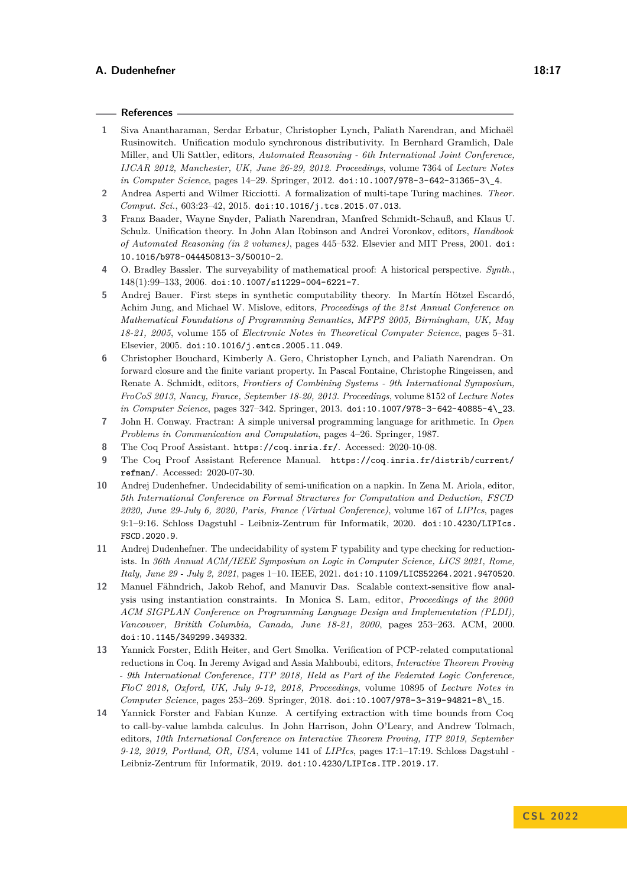#### **References**

- <span id="page-16-8"></span>**1** Siva Anantharaman, Serdar Erbatur, Christopher Lynch, Paliath Narendran, and Michaël Rusinowitch. Unification modulo synchronous distributivity. In Bernhard Gramlich, Dale Miller, and Uli Sattler, editors, *Automated Reasoning - 6th International Joint Conference, IJCAR 2012, Manchester, UK, June 26-29, 2012. Proceedings*, volume 7364 of *Lecture Notes in Computer Science*, pages 14–29. Springer, 2012. [doi:10.1007/978-3-642-31365-3\\\_4](https://doi.org/10.1007/978-3-642-31365-3_4).
- <span id="page-16-10"></span>**2** Andrea Asperti and Wilmer Ricciotti. A formalization of multi-tape Turing machines. *Theor. Comput. Sci.*, 603:23–42, 2015. [doi:10.1016/j.tcs.2015.07.013](https://doi.org/10.1016/j.tcs.2015.07.013).
- <span id="page-16-9"></span>**3** Franz Baader, Wayne Snyder, Paliath Narendran, Manfred Schmidt-Schauß, and Klaus U. Schulz. Unification theory. In John Alan Robinson and Andrei Voronkov, editors, *Handbook of Automated Reasoning (in 2 volumes)*, pages 445–532. Elsevier and MIT Press, 2001. [doi:](https://doi.org/10.1016/b978-044450813-3/50010-2) [10.1016/b978-044450813-3/50010-2](https://doi.org/10.1016/b978-044450813-3/50010-2).
- <span id="page-16-1"></span>**4** O. Bradley Bassler. The surveyability of mathematical proof: A historical perspective. *Synth.*, 148(1):99–133, 2006. [doi:10.1007/s11229-004-6221-7](https://doi.org/10.1007/s11229-004-6221-7).
- <span id="page-16-3"></span>**5** Andrej Bauer. First steps in synthetic computability theory. In Martín Hötzel Escardó, Achim Jung, and Michael W. Mislove, editors, *Proceedings of the 21st Annual Conference on Mathematical Foundations of Programming Semantics, MFPS 2005, Birmingham, UK, May 18-21, 2005*, volume 155 of *Electronic Notes in Theoretical Computer Science*, pages 5–31. Elsevier, 2005. [doi:10.1016/j.entcs.2005.11.049](https://doi.org/10.1016/j.entcs.2005.11.049).
- <span id="page-16-13"></span>**6** Christopher Bouchard, Kimberly A. Gero, Christopher Lynch, and Paliath Narendran. On forward closure and the finite variant property. In Pascal Fontaine, Christophe Ringeissen, and Renate A. Schmidt, editors, *Frontiers of Combining Systems - 9th International Symposium, FroCoS 2013, Nancy, France, September 18-20, 2013. Proceedings*, volume 8152 of *Lecture Notes in Computer Science*, pages 327–342. Springer, 2013. [doi:10.1007/978-3-642-40885-4\\\_23](https://doi.org/10.1007/978-3-642-40885-4_23).
- <span id="page-16-7"></span>**7** John H. Conway. Fractran: A simple universal programming language for arithmetic. In *Open Problems in Communication and Computation*, pages 4–26. Springer, 1987.
- <span id="page-16-4"></span>**8** The Coq Proof Assistant. <https://coq.inria.fr/>. Accessed: 2020-10-08.
- <span id="page-16-11"></span>**9** The Coq Proof Assistant Reference Manual. [https://coq.inria.fr/distrib/current/](https://coq.inria.fr/distrib/current/refman/) [refman/](https://coq.inria.fr/distrib/current/refman/). Accessed: 2020-07-30.
- <span id="page-16-2"></span>**10** Andrej Dudenhefner. Undecidability of semi-unification on a napkin. In Zena M. Ariola, editor, *5th International Conference on Formal Structures for Computation and Deduction, FSCD 2020, June 29-July 6, 2020, Paris, France (Virtual Conference)*, volume 167 of *LIPIcs*, pages 9:1–9:16. Schloss Dagstuhl - Leibniz-Zentrum für Informatik, 2020. [doi:10.4230/LIPIcs.](https://doi.org/10.4230/LIPIcs.FSCD.2020.9) [FSCD.2020.9](https://doi.org/10.4230/LIPIcs.FSCD.2020.9).
- <span id="page-16-5"></span>**11** Andrej Dudenhefner. The undecidability of system F typability and type checking for reductionists. In *36th Annual ACM/IEEE Symposium on Logic in Computer Science, LICS 2021, Rome, Italy, June 29 - July 2, 2021*, pages 1–10. IEEE, 2021. [doi:10.1109/LICS52264.2021.9470520](https://doi.org/10.1109/LICS52264.2021.9470520).
- <span id="page-16-0"></span>**12** Manuel Fähndrich, Jakob Rehof, and Manuvir Das. Scalable context-sensitive flow analysis using instantiation constraints. In Monica S. Lam, editor, *Proceedings of the 2000 ACM SIGPLAN Conference on Programming Language Design and Implementation (PLDI), Vancouver, Britith Columbia, Canada, June 18-21, 2000*, pages 253–263. ACM, 2000. [doi:10.1145/349299.349332](https://doi.org/10.1145/349299.349332).
- <span id="page-16-6"></span>**13** Yannick Forster, Edith Heiter, and Gert Smolka. Verification of PCP-related computational reductions in Coq. In Jeremy Avigad and Assia Mahboubi, editors, *Interactive Theorem Proving - 9th International Conference, ITP 2018, Held as Part of the Federated Logic Conference, FloC 2018, Oxford, UK, July 9-12, 2018, Proceedings*, volume 10895 of *Lecture Notes in Computer Science*, pages 253–269. Springer, 2018. [doi:10.1007/978-3-319-94821-8\\\_15](https://doi.org/10.1007/978-3-319-94821-8_15).
- <span id="page-16-12"></span>**14** Yannick Forster and Fabian Kunze. A certifying extraction with time bounds from Coq to call-by-value lambda calculus. In John Harrison, John O'Leary, and Andrew Tolmach, editors, *10th International Conference on Interactive Theorem Proving, ITP 2019, September 9-12, 2019, Portland, OR, USA*, volume 141 of *LIPIcs*, pages 17:1–17:19. Schloss Dagstuhl - Leibniz-Zentrum für Informatik, 2019. [doi:10.4230/LIPIcs.ITP.2019.17](https://doi.org/10.4230/LIPIcs.ITP.2019.17).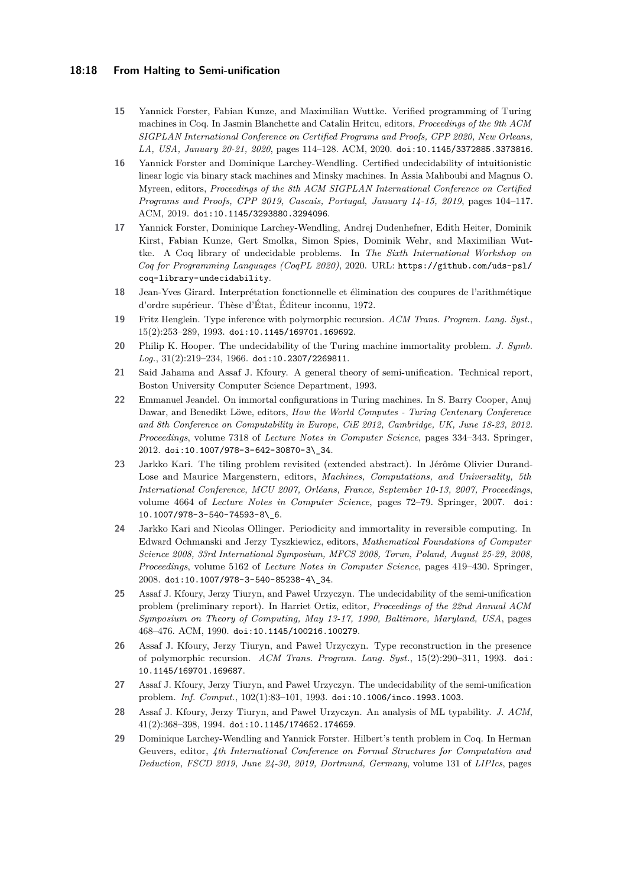## **18:18 From Halting to Semi-unification**

- <span id="page-17-13"></span>**15** Yannick Forster, Fabian Kunze, and Maximilian Wuttke. Verified programming of Turing machines in Coq. In Jasmin Blanchette and Catalin Hritcu, editors, *Proceedings of the 9th ACM SIGPLAN International Conference on Certified Programs and Proofs, CPP 2020, New Orleans, LA, USA, January 20-21, 2020*, pages 114–128. ACM, 2020. [doi:10.1145/3372885.3373816](https://doi.org/10.1145/3372885.3373816).
- <span id="page-17-10"></span>**16** Yannick Forster and Dominique Larchey-Wendling. Certified undecidability of intuitionistic linear logic via binary stack machines and Minsky machines. In Assia Mahboubi and Magnus O. Myreen, editors, *Proceedings of the 8th ACM SIGPLAN International Conference on Certified Programs and Proofs, CPP 2019, Cascais, Portugal, January 14-15, 2019*, pages 104–117. ACM, 2019. [doi:10.1145/3293880.3294096](https://doi.org/10.1145/3293880.3294096).
- <span id="page-17-9"></span>**17** Yannick Forster, Dominique Larchey-Wendling, Andrej Dudenhefner, Edith Heiter, Dominik Kirst, Fabian Kunze, Gert Smolka, Simon Spies, Dominik Wehr, and Maximilian Wuttke. A Coq library of undecidable problems. In *The Sixth International Workshop on Coq for Programming Languages (CoqPL 2020)*, 2020. URL: [https://github.com/uds-psl/](https://github.com/uds-psl/coq-library-undecidability) [coq-library-undecidability](https://github.com/uds-psl/coq-library-undecidability).
- <span id="page-17-5"></span>**18** Jean-Yves Girard. Interprétation fonctionnelle et élimination des coupures de l'arithmétique d'ordre supérieur. Thèse d'État, Éditeur inconnu, 1972.
- <span id="page-17-1"></span>**19** Fritz Henglein. Type inference with polymorphic recursion. *ACM Trans. Program. Lang. Syst.*, 15(2):253–289, 1993. [doi:10.1145/169701.169692](https://doi.org/10.1145/169701.169692).
- <span id="page-17-7"></span>**20** Philip K. Hooper. The undecidability of the Turing machine immortality problem. *J. Symb. Log.*, 31(2):219–234, 1966. [doi:10.2307/2269811](https://doi.org/10.2307/2269811).
- <span id="page-17-4"></span>**21** Said Jahama and Assaf J. Kfoury. A general theory of semi-unification. Technical report, Boston University Computer Science Department, 1993.
- <span id="page-17-12"></span>**22** Emmanuel Jeandel. On immortal configurations in Turing machines. In S. Barry Cooper, Anuj Dawar, and Benedikt Löwe, editors, *How the World Computes - Turing Centenary Conference and 8th Conference on Computability in Europe, CiE 2012, Cambridge, UK, June 18-23, 2012. Proceedings*, volume 7318 of *Lecture Notes in Computer Science*, pages 334–343. Springer, 2012. [doi:10.1007/978-3-642-30870-3\\\_34](https://doi.org/10.1007/978-3-642-30870-3_34).
- <span id="page-17-14"></span>**23** Jarkko Kari. The tiling problem revisited (extended abstract). In Jérôme Olivier Durand-Lose and Maurice Margenstern, editors, *Machines, Computations, and Universality, 5th International Conference, MCU 2007, Orléans, France, September 10-13, 2007, Proceedings*, volume 4664 of *Lecture Notes in Computer Science*, pages 72–79. Springer, 2007. [doi:](https://doi.org/10.1007/978-3-540-74593-8_6) [10.1007/978-3-540-74593-8\\\_6](https://doi.org/10.1007/978-3-540-74593-8_6).
- <span id="page-17-8"></span>**24** Jarkko Kari and Nicolas Ollinger. Periodicity and immortality in reversible computing. In Edward Ochmanski and Jerzy Tyszkiewicz, editors, *Mathematical Foundations of Computer Science 2008, 33rd International Symposium, MFCS 2008, Torun, Poland, August 25-29, 2008, Proceedings*, volume 5162 of *Lecture Notes in Computer Science*, pages 419–430. Springer, 2008. [doi:10.1007/978-3-540-85238-4\\\_34](https://doi.org/10.1007/978-3-540-85238-4_34).
- <span id="page-17-2"></span>**25** Assaf J. Kfoury, Jerzy Tiuryn, and Paweł Urzyczyn. The undecidability of the semi-unification problem (preliminary report). In Harriet Ortiz, editor, *Proceedings of the 22nd Annual ACM Symposium on Theory of Computing, May 13-17, 1990, Baltimore, Maryland, USA*, pages 468–476. ACM, 1990. [doi:10.1145/100216.100279](https://doi.org/10.1145/100216.100279).
- <span id="page-17-0"></span>**26** Assaf J. Kfoury, Jerzy Tiuryn, and Paweł Urzyczyn. Type reconstruction in the presence of polymorphic recursion. *ACM Trans. Program. Lang. Syst.*, 15(2):290–311, 1993. [doi:](https://doi.org/10.1145/169701.169687) [10.1145/169701.169687](https://doi.org/10.1145/169701.169687).
- <span id="page-17-3"></span>**27** Assaf J. Kfoury, Jerzy Tiuryn, and Paweł Urzyczyn. The undecidability of the semi-unification problem. *Inf. Comput.*, 102(1):83–101, 1993. [doi:10.1006/inco.1993.1003](https://doi.org/10.1006/inco.1993.1003).
- <span id="page-17-6"></span>**28** Assaf J. Kfoury, Jerzy Tiuryn, and Paweł Urzyczyn. An analysis of ML typability. *J. ACM*, 41(2):368–398, 1994. [doi:10.1145/174652.174659](https://doi.org/10.1145/174652.174659).
- <span id="page-17-11"></span>**29** Dominique Larchey-Wendling and Yannick Forster. Hilbert's tenth problem in Coq. In Herman Geuvers, editor, *4th International Conference on Formal Structures for Computation and Deduction, FSCD 2019, June 24-30, 2019, Dortmund, Germany*, volume 131 of *LIPIcs*, pages